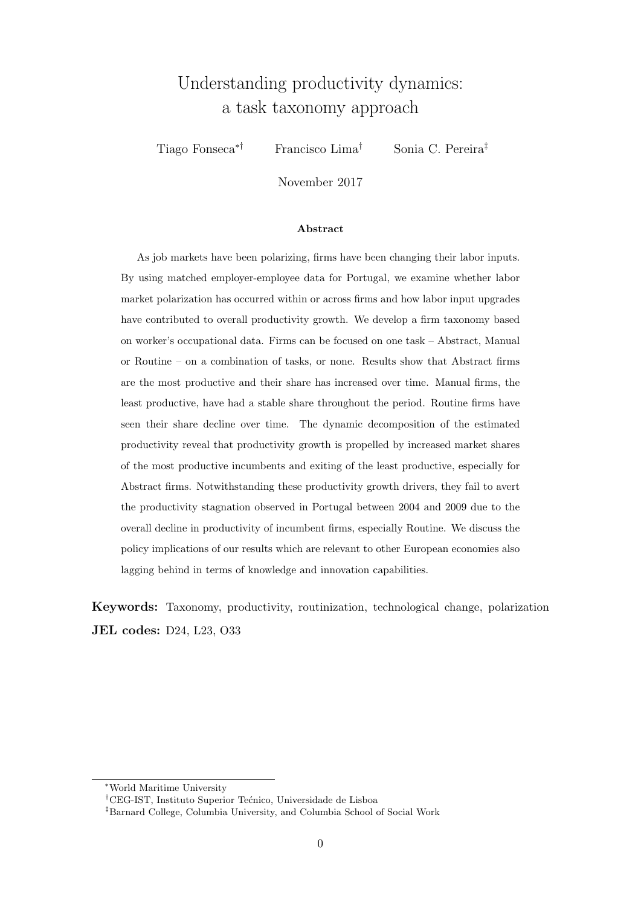### <span id="page-0-0"></span>Understanding productivity dynamics: a task taxonomy approach

Tiago Fonseca∗† Francisco Lima† Sonia C. Pereira‡

November 2017

#### Abstract

As job markets have been polarizing, firms have been changing their labor inputs. By using matched employer-employee data for Portugal, we examine whether labor market polarization has occurred within or across firms and how labor input upgrades have contributed to overall productivity growth. We develop a firm taxonomy based on worker's occupational data. Firms can be focused on one task – Abstract, Manual or Routine – on a combination of tasks, or none. Results show that Abstract firms are the most productive and their share has increased over time. Manual firms, the least productive, have had a stable share throughout the period. Routine firms have seen their share decline over time. The dynamic decomposition of the estimated productivity reveal that productivity growth is propelled by increased market shares of the most productive incumbents and exiting of the least productive, especially for Abstract firms. Notwithstanding these productivity growth drivers, they fail to avert the productivity stagnation observed in Portugal between 2004 and 2009 due to the overall decline in productivity of incumbent firms, especially Routine. We discuss the policy implications of our results which are relevant to other European economies also lagging behind in terms of knowledge and innovation capabilities.

Keywords: Taxonomy, productivity, routinization, technological change, polarization JEL codes: D24, L23, O33

<sup>∗</sup>World Maritime University

<sup>&</sup>lt;sup>†</sup>CEG-IST, Instituto Superior Tećnico, Universidade de Lisboa

<sup>‡</sup>Barnard College, Columbia University, and Columbia School of Social Work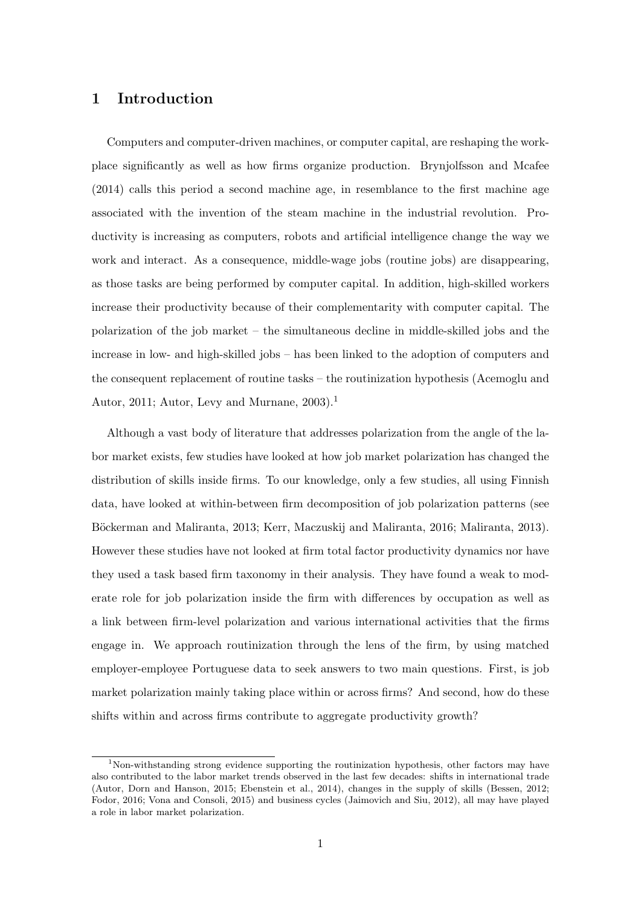#### 1 Introduction

Computers and computer-driven machines, or computer capital, are reshaping the workplace significantly as well as how firms organize production. [Brynjolfsson and Mcafee](#page-35-0) [\(2014\)](#page-35-0) calls this period a second machine age, in resemblance to the first machine age associated with the invention of the steam machine in the industrial revolution. Productivity is increasing as computers, robots and artificial intelligence change the way we work and interact. As a consequence, middle-wage jobs (routine jobs) are disappearing, as those tasks are being performed by computer capital. In addition, high-skilled workers increase their productivity because of their complementarity with computer capital. The polarization of the job market – the simultaneous decline in middle-skilled jobs and the increase in low- and high-skilled jobs – has been linked to the adoption of computers and the consequent replacement of routine tasks – the routinization hypothesis [\(Acemoglu and](#page-33-0) [Autor,](#page-33-0) [2011;](#page-33-0) [Autor, Levy and Murnane,](#page-33-1)  $2003$ .<sup>[1](#page-0-0)</sup>

Although a vast body of literature that addresses polarization from the angle of the labor market exists, few studies have looked at how job market polarization has changed the distribution of skills inside firms. To our knowledge, only a few studies, all using Finnish data, have looked at within-between firm decomposition of job polarization patterns (see Böckerman and Maliranta, [2013;](#page-35-1) [Kerr, Maczuskij and Maliranta,](#page-39-0) [2016;](#page-39-0) [Maliranta,](#page-39-1) [2013\)](#page-39-1). However these studies have not looked at firm total factor productivity dynamics nor have they used a task based firm taxonomy in their analysis. They have found a weak to moderate role for job polarization inside the firm with differences by occupation as well as a link between firm-level polarization and various international activities that the firms engage in. We approach routinization through the lens of the firm, by using matched employer-employee Portuguese data to seek answers to two main questions. First, is job market polarization mainly taking place within or across firms? And second, how do these shifts within and across firms contribute to aggregate productivity growth?

 $1$ Non-withstanding strong evidence supporting the routinization hypothesis, other factors may have also contributed to the labor market trends observed in the last few decades: shifts in international trade [\(Autor, Dorn and Hanson,](#page-33-2) [2015;](#page-33-2) [Ebenstein et al.,](#page-37-0) [2014\)](#page-37-0), changes in the supply of skills [\(Bessen,](#page-34-0) [2012;](#page-34-0) [Fodor,](#page-37-1) [2016;](#page-37-1) [Vona and Consoli,](#page-41-0) [2015\)](#page-41-0) and business cycles [\(Jaimovich and Siu,](#page-38-0) [2012\)](#page-38-0), all may have played a role in labor market polarization.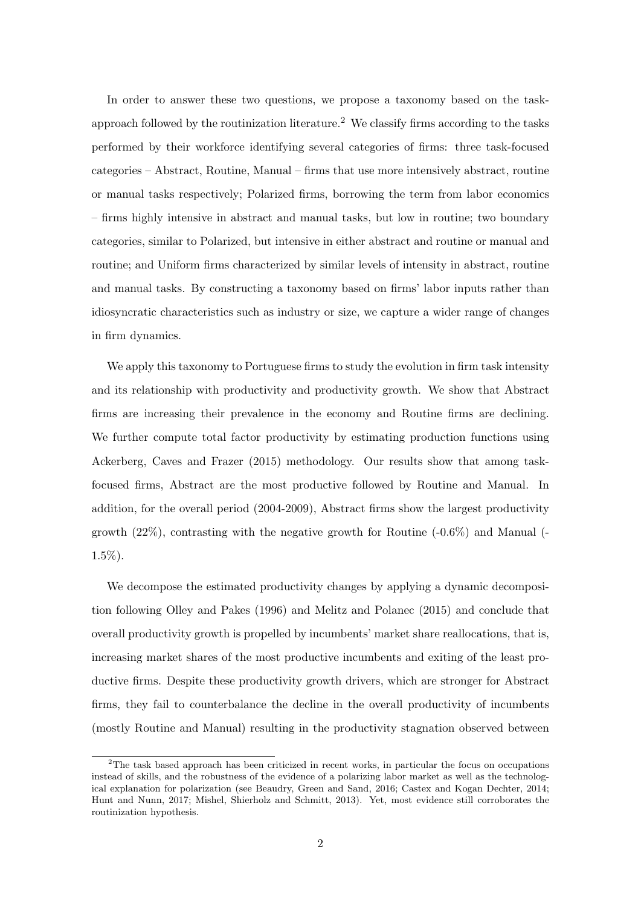In order to answer these two questions, we propose a taxonomy based on the task-approach followed by the routinization literature.<sup>[2](#page-0-0)</sup> We classify firms according to the tasks performed by their workforce identifying several categories of firms: three task-focused categories – Abstract, Routine, Manual – firms that use more intensively abstract, routine or manual tasks respectively; Polarized firms, borrowing the term from labor economics – firms highly intensive in abstract and manual tasks, but low in routine; two boundary categories, similar to Polarized, but intensive in either abstract and routine or manual and routine; and Uniform firms characterized by similar levels of intensity in abstract, routine and manual tasks. By constructing a taxonomy based on firms' labor inputs rather than idiosyncratic characteristics such as industry or size, we capture a wider range of changes in firm dynamics.

We apply this taxonomy to Portuguese firms to study the evolution in firm task intensity and its relationship with productivity and productivity growth. We show that Abstract firms are increasing their prevalence in the economy and Routine firms are declining. We further compute total factor productivity by estimating production functions using [Ackerberg, Caves and Frazer](#page-33-3) [\(2015\)](#page-33-3) methodology. Our results show that among taskfocused firms, Abstract are the most productive followed by Routine and Manual. In addition, for the overall period (2004-2009), Abstract firms show the largest productivity growth  $(22\%)$ , contrasting with the negative growth for Routine  $(-0.6\%)$  and Manual  $(-0.6\%)$ 1.5%).

We decompose the estimated productivity changes by applying a dynamic decomposition following [Olley and Pakes](#page-40-0) [\(1996\)](#page-40-0) and [Melitz and Polanec](#page-40-1) [\(2015\)](#page-40-1) and conclude that overall productivity growth is propelled by incumbents' market share reallocations, that is, increasing market shares of the most productive incumbents and exiting of the least productive firms. Despite these productivity growth drivers, which are stronger for Abstract firms, they fail to counterbalance the decline in the overall productivity of incumbents (mostly Routine and Manual) resulting in the productivity stagnation observed between

<sup>&</sup>lt;sup>2</sup>The task based approach has been criticized in recent works, in particular the focus on occupations instead of skills, and the robustness of the evidence of a polarizing labor market as well as the technological explanation for polarization (see [Beaudry, Green and Sand,](#page-34-1) [2016;](#page-34-1) [Castex and Kogan Dechter,](#page-36-0) [2014;](#page-36-0) [Hunt and Nunn,](#page-38-1) [2017;](#page-38-1) [Mishel, Shierholz and Schmitt,](#page-40-2) [2013\)](#page-40-2). Yet, most evidence still corroborates the routinization hypothesis.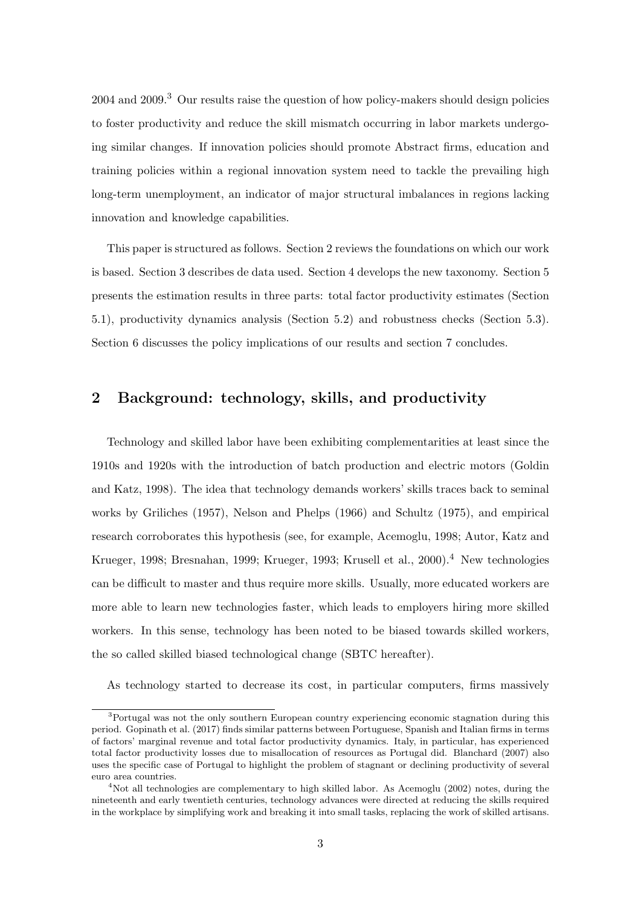2004 and 2009.[3](#page-0-0) Our results raise the question of how policy-makers should design policies to foster productivity and reduce the skill mismatch occurring in labor markets undergoing similar changes. If innovation policies should promote Abstract firms, education and training policies within a regional innovation system need to tackle the prevailing high long-term unemployment, an indicator of major structural imbalances in regions lacking innovation and knowledge capabilities.

This paper is structured as follows. Section [2](#page-3-0) reviews the foundations on which our work is based. Section [3](#page-7-0) describes de data used. Section [4](#page-8-0) develops the new taxonomy. Section 5 presents the estimation results in three parts: total factor productivity estimates (Section [5.1\)](#page-16-0), productivity dynamics analysis (Section [5.2\)](#page-18-0) and robustness checks (Section [5.3\)](#page-23-0). Section [6](#page-25-0) discusses the policy implications of our results and section [7](#page-29-0) concludes.

#### <span id="page-3-0"></span>2 Background: technology, skills, and productivity

Technology and skilled labor have been exhibiting complementarities at least since the 1910s and 1920s with the introduction of batch production and electric motors [\(Goldin](#page-37-2) [and Katz,](#page-37-2) [1998\)](#page-37-2). The idea that technology demands workers' skills traces back to seminal works by [Griliches](#page-37-3) [\(1957\)](#page-37-3), [Nelson and Phelps](#page-40-3) [\(1966\)](#page-40-3) and [Schultz](#page-41-1) [\(1975\)](#page-41-1), and empirical research corroborates this hypothesis (see, for example, [Acemoglu,](#page-33-4) [1998;](#page-33-4) [Autor, Katz and](#page-34-2) [Krueger,](#page-39-2) [1998;](#page-34-2) [Bresnahan,](#page-35-2) [1999;](#page-35-2) Krueger, [1993;](#page-39-2) [Krusell et al.,](#page-39-3) [2000\)](#page-39-3).<sup>[4](#page-0-0)</sup> New technologies can be difficult to master and thus require more skills. Usually, more educated workers are more able to learn new technologies faster, which leads to employers hiring more skilled workers. In this sense, technology has been noted to be biased towards skilled workers, the so called skilled biased technological change (SBTC hereafter).

As technology started to decrease its cost, in particular computers, firms massively

<sup>&</sup>lt;sup>3</sup>Portugal was not the only southern European country experiencing economic stagnation during this period. [Gopinath et al.](#page-37-4) [\(2017\)](#page-37-4) finds similar patterns between Portuguese, Spanish and Italian firms in terms of factors' marginal revenue and total factor productivity dynamics. Italy, in particular, has experienced total factor productivity losses due to misallocation of resources as Portugal did. [Blanchard](#page-35-3) [\(2007\)](#page-35-3) also uses the specific case of Portugal to highlight the problem of stagnant or declining productivity of several euro area countries.

<sup>4</sup>Not all technologies are complementary to high skilled labor. As [Acemoglu](#page-33-5) [\(2002\)](#page-33-5) notes, during the nineteenth and early twentieth centuries, technology advances were directed at reducing the skills required in the workplace by simplifying work and breaking it into small tasks, replacing the work of skilled artisans.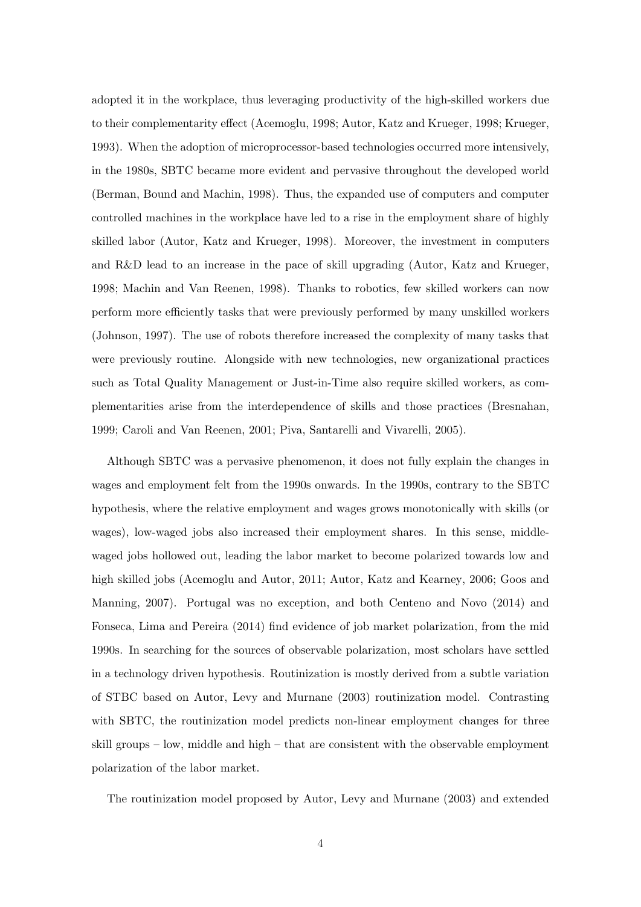adopted it in the workplace, thus leveraging productivity of the high-skilled workers due to their complementarity effect [\(Acemoglu,](#page-33-4) [1998;](#page-33-4) [Autor, Katz and Krueger,](#page-34-2) [1998;](#page-34-2) [Krueger,](#page-39-2) [1993\)](#page-39-2). When the adoption of microprocessor-based technologies occurred more intensively, in the 1980s, SBTC became more evident and pervasive throughout the developed world [\(Berman, Bound and Machin,](#page-34-3) [1998\)](#page-34-3). Thus, the expanded use of computers and computer controlled machines in the workplace have led to a rise in the employment share of highly skilled labor [\(Autor, Katz and Krueger,](#page-34-2) [1998\)](#page-34-2). Moreover, the investment in computers and R&D lead to an increase in the pace of skill upgrading [\(Autor, Katz and Krueger,](#page-34-2) [1998;](#page-34-2) [Machin and Van Reenen,](#page-39-4) [1998\)](#page-39-4). Thanks to robotics, few skilled workers can now perform more efficiently tasks that were previously performed by many unskilled workers [\(Johnson,](#page-38-2) [1997\)](#page-38-2). The use of robots therefore increased the complexity of many tasks that were previously routine. Alongside with new technologies, new organizational practices such as Total Quality Management or Just-in-Time also require skilled workers, as complementarities arise from the interdependence of skills and those practices [\(Bresnahan,](#page-35-2) [1999;](#page-35-2) [Caroli and Van Reenen,](#page-36-1) [2001;](#page-36-1) [Piva, Santarelli and Vivarelli,](#page-41-2) [2005\)](#page-41-2).

Although SBTC was a pervasive phenomenon, it does not fully explain the changes in wages and employment felt from the 1990s onwards. In the 1990s, contrary to the SBTC hypothesis, where the relative employment and wages grows monotonically with skills (or wages), low-waged jobs also increased their employment shares. In this sense, middlewaged jobs hollowed out, leading the labor market to become polarized towards low and high skilled jobs [\(Acemoglu and Autor,](#page-33-0) [2011;](#page-33-0) [Autor, Katz and Kearney,](#page-34-4) [2006;](#page-34-4) [Goos and](#page-37-5) [Manning,](#page-37-5) [2007\)](#page-37-5). Portugal was no exception, and both [Centeno and Novo](#page-36-2) [\(2014\)](#page-36-2) and [Fonseca, Lima and Pereira](#page-37-6) [\(2014\)](#page-37-6) find evidence of job market polarization, from the mid 1990s. In searching for the sources of observable polarization, most scholars have settled in a technology driven hypothesis. Routinization is mostly derived from a subtle variation of STBC based on [Autor, Levy and Murnane](#page-33-1) [\(2003\)](#page-33-1) routinization model. Contrasting with SBTC, the routinization model predicts non-linear employment changes for three skill groups – low, middle and high – that are consistent with the observable employment polarization of the labor market.

The routinization model proposed by [Autor, Levy and Murnane](#page-33-1) [\(2003\)](#page-33-1) and extended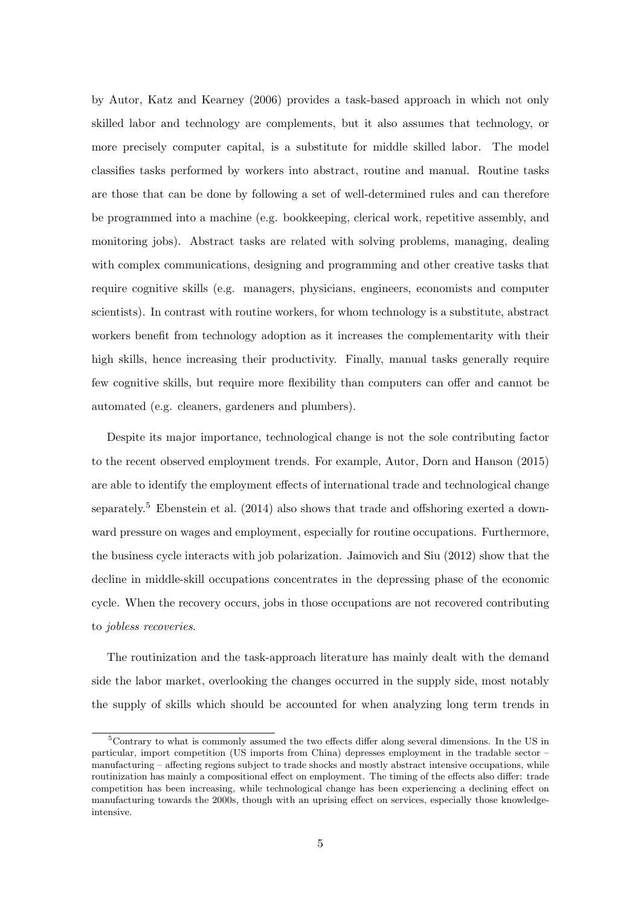by [Autor, Katz and Kearney](#page-34-4) [\(2006\)](#page-34-4) provides a task-based approach in which not only skilled labor and technology are complements, but it also assumes that technology, or more precisely computer capital, is a substitute for middle skilled labor. The model classifies tasks performed by workers into abstract, routine and manual. Routine tasks are those that can be done by following a set of well-determined rules and can therefore be programmed into a machine (e.g. bookkeeping, clerical work, repetitive assembly, and monitoring jobs). Abstract tasks are related with solving problems, managing, dealing with complex communications, designing and programming and other creative tasks that require cognitive skills (e.g. managers, physicians, engineers, economists and computer scientists). In contrast with routine workers, for whom technology is a substitute, abstract workers benefit from technology adoption as it increases the complementarity with their high skills, hence increasing their productivity. Finally, manual tasks generally require few cognitive skills, but require more flexibility than computers can offer and cannot be automated (e.g. cleaners, gardeners and plumbers).

Despite its major importance, technological change is not the sole contributing factor to the recent observed employment trends. For example, [Autor, Dorn and Hanson](#page-33-2) [\(2015\)](#page-33-2) are able to identify the employment effects of international trade and technological change separately.<sup>[5](#page-0-0)</sup> [Ebenstein et al.](#page-37-0)  $(2014)$  also shows that trade and offshoring exerted a downward pressure on wages and employment, especially for routine occupations. Furthermore, the business cycle interacts with job polarization. [Jaimovich and Siu](#page-38-0) [\(2012\)](#page-38-0) show that the decline in middle-skill occupations concentrates in the depressing phase of the economic cycle. When the recovery occurs, jobs in those occupations are not recovered contributing to jobless recoveries.

The routinization and the task-approach literature has mainly dealt with the demand side the labor market, overlooking the changes occurred in the supply side, most notably the supply of skills which should be accounted for when analyzing long term trends in

<sup>&</sup>lt;sup>5</sup>Contrary to what is commonly assumed the two effects differ along several dimensions. In the US in particular, import competition (US imports from China) depresses employment in the tradable sector – manufacturing – affecting regions subject to trade shocks and mostly abstract intensive occupations, while routinization has mainly a compositional effect on employment. The timing of the effects also differ: trade competition has been increasing, while technological change has been experiencing a declining effect on manufacturing towards the 2000s, though with an uprising effect on services, especially those knowledgeintensive.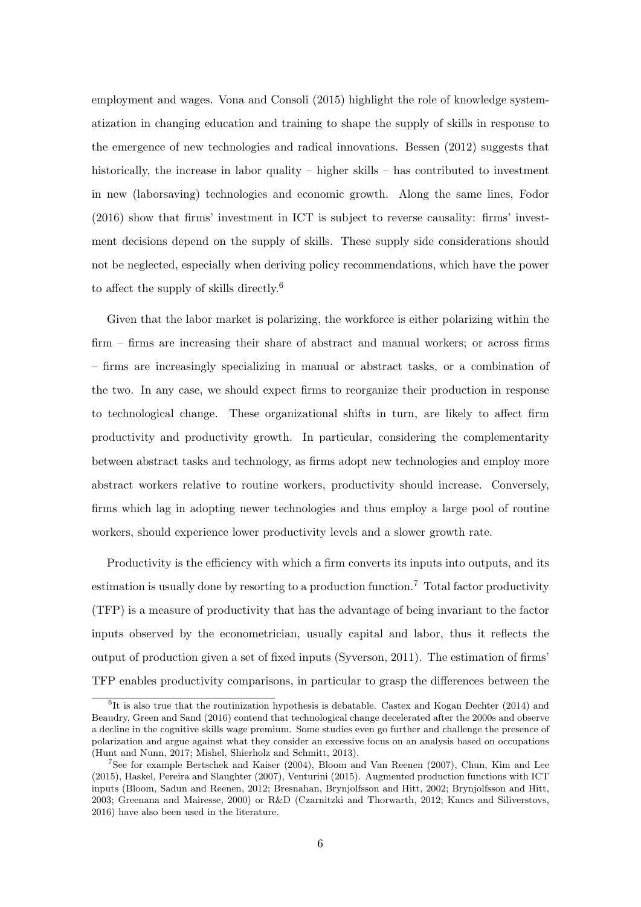employment and wages. [Vona and Consoli](#page-41-0) [\(2015\)](#page-41-0) highlight the role of knowledge systematization in changing education and training to shape the supply of skills in response to the emergence of new technologies and radical innovations. [Bessen](#page-34-0) [\(2012\)](#page-34-0) suggests that historically, the increase in labor quality – higher skills – has contributed to investment in new (laborsaving) technologies and economic growth. Along the same lines, [Fodor](#page-37-1) [\(2016\)](#page-37-1) show that firms' investment in ICT is subject to reverse causality: firms' investment decisions depend on the supply of skills. These supply side considerations should not be neglected, especially when deriving policy recommendations, which have the power to affect the supply of skills directly.[6](#page-0-0)

Given that the labor market is polarizing, the workforce is either polarizing within the firm – firms are increasing their share of abstract and manual workers; or across firms – firms are increasingly specializing in manual or abstract tasks, or a combination of the two. In any case, we should expect firms to reorganize their production in response to technological change. These organizational shifts in turn, are likely to affect firm productivity and productivity growth. In particular, considering the complementarity between abstract tasks and technology, as firms adopt new technologies and employ more abstract workers relative to routine workers, productivity should increase. Conversely, firms which lag in adopting newer technologies and thus employ a large pool of routine workers, should experience lower productivity levels and a slower growth rate.

Productivity is the efficiency with which a firm converts its inputs into outputs, and its estimation is usually done by resorting to a production function.<sup>[7](#page-0-0)</sup> Total factor productivity (TFP) is a measure of productivity that has the advantage of being invariant to the factor inputs observed by the econometrician, usually capital and labor, thus it reflects the output of production given a set of fixed inputs [\(Syverson,](#page-41-3) [2011\)](#page-41-3). The estimation of firms' TFP enables productivity comparisons, in particular to grasp the differences between the

<sup>&</sup>lt;sup>6</sup>It is also true that the routinization hypothesis is debatable. [Castex and Kogan Dechter](#page-36-0) [\(2014\)](#page-36-0) and [Beaudry, Green and Sand](#page-34-1) [\(2016\)](#page-34-1) contend that technological change decelerated after the 2000s and observe a decline in the cognitive skills wage premium. Some studies even go further and challenge the presence of polarization and argue against what they consider an excessive focus on an analysis based on occupations [\(Hunt and Nunn,](#page-38-1) [2017;](#page-38-1) [Mishel, Shierholz and Schmitt,](#page-40-2) [2013\)](#page-40-2).

<sup>7</sup>See for example [Bertschek and Kaiser](#page-34-5) [\(2004\)](#page-34-5), [Bloom and Van Reenen](#page-35-4) [\(2007\)](#page-35-4), [Chun, Kim and Lee](#page-36-3) [\(2015\)](#page-36-3), [Haskel, Pereira and Slaughter](#page-38-3) [\(2007\)](#page-38-3), [Venturini](#page-41-4) [\(2015\)](#page-41-4). Augmented production functions with ICT inputs [\(Bloom, Sadun and Reenen,](#page-35-5) [2012;](#page-35-5) [Bresnahan, Brynjolfsson and Hitt,](#page-35-6) [2002;](#page-35-6) [Brynjolfsson and Hitt,](#page-35-7) [2003;](#page-35-7) [Greenana and Mairesse,](#page-37-7) [2000\)](#page-37-7) or R&D [\(Czarnitzki and Thorwarth,](#page-36-4) [2012;](#page-36-4) [Kancs and Siliverstovs,](#page-38-4) [2016\)](#page-38-4) have also been used in the literature.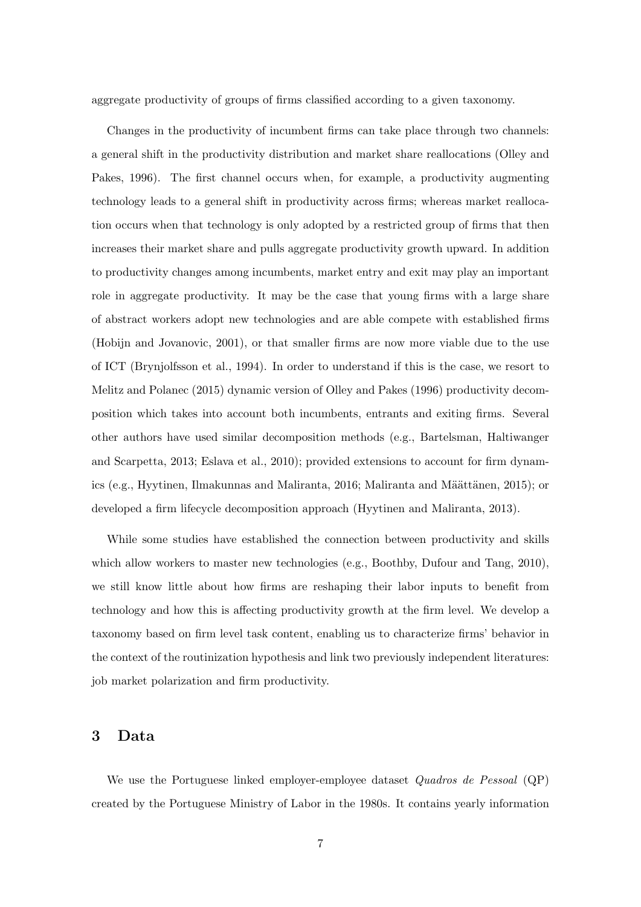aggregate productivity of groups of firms classified according to a given taxonomy.

Changes in the productivity of incumbent firms can take place through two channels: a general shift in the productivity distribution and market share reallocations [\(Olley and](#page-40-0) [Pakes,](#page-40-0) [1996\)](#page-40-0). The first channel occurs when, for example, a productivity augmenting technology leads to a general shift in productivity across firms; whereas market reallocation occurs when that technology is only adopted by a restricted group of firms that then increases their market share and pulls aggregate productivity growth upward. In addition to productivity changes among incumbents, market entry and exit may play an important role in aggregate productivity. It may be the case that young firms with a large share of abstract workers adopt new technologies and are able compete with established firms [\(Hobijn and Jovanovic,](#page-38-5) [2001\)](#page-38-5), or that smaller firms are now more viable due to the use of ICT [\(Brynjolfsson et al.,](#page-35-8) [1994\)](#page-35-8). In order to understand if this is the case, we resort to [Melitz and Polanec](#page-40-1) [\(2015\)](#page-40-1) dynamic version of [Olley and Pakes](#page-40-0) [\(1996\)](#page-40-0) productivity decomposition which takes into account both incumbents, entrants and exiting firms. Several other authors have used similar decomposition methods (e.g., [Bartelsman, Haltiwanger](#page-34-6) [and Scarpetta,](#page-34-6) [2013;](#page-34-6) [Eslava et al.,](#page-37-8) [2010\)](#page-37-8); provided extensions to account for firm dynam-ics (e.g., [Hyytinen, Ilmakunnas and Maliranta,](#page-38-6) [2016;](#page-38-6) Maliranta and Määttänen, [2015\)](#page-39-5); or developed a firm lifecycle decomposition approach [\(Hyytinen and Maliranta,](#page-38-7) [2013\)](#page-38-7).

While some studies have established the connection between productivity and skills which allow workers to master new technologies (e.g., [Boothby, Dufour and Tang,](#page-35-9) [2010\)](#page-35-9), we still know little about how firms are reshaping their labor inputs to benefit from technology and how this is affecting productivity growth at the firm level. We develop a taxonomy based on firm level task content, enabling us to characterize firms' behavior in the context of the routinization hypothesis and link two previously independent literatures: job market polarization and firm productivity.

#### <span id="page-7-0"></span>3 Data

We use the Portuguese linked employer-employee dataset *Quadros de Pessoal* (QP) created by the Portuguese Ministry of Labor in the 1980s. It contains yearly information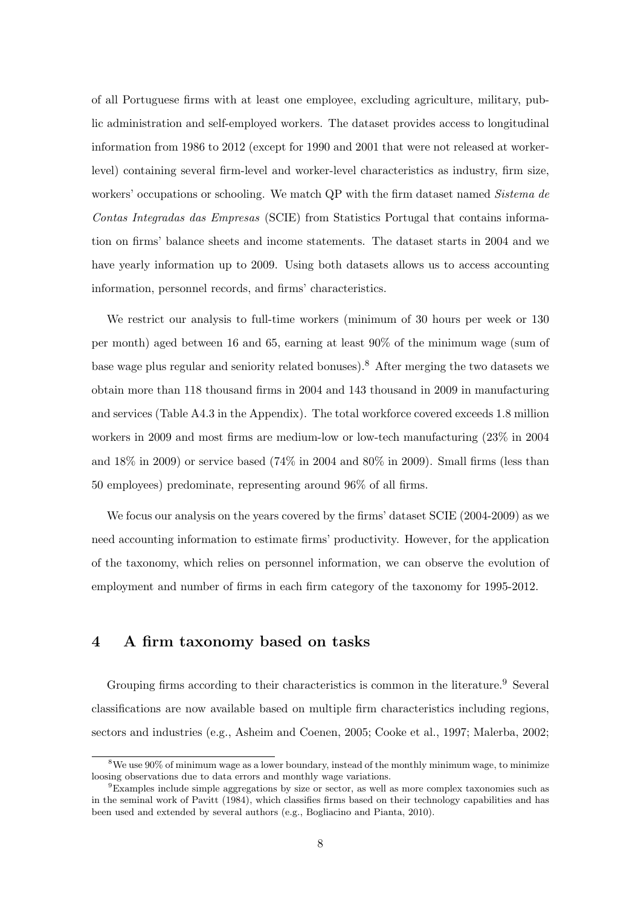of all Portuguese firms with at least one employee, excluding agriculture, military, public administration and self-employed workers. The dataset provides access to longitudinal information from 1986 to 2012 (except for 1990 and 2001 that were not released at workerlevel) containing several firm-level and worker-level characteristics as industry, firm size, workers' occupations or schooling. We match QP with the firm dataset named Sistema de Contas Integradas das Empresas (SCIE) from Statistics Portugal that contains information on firms' balance sheets and income statements. The dataset starts in 2004 and we have yearly information up to 2009. Using both datasets allows us to access accounting information, personnel records, and firms' characteristics.

We restrict our analysis to full-time workers (minimum of 30 hours per week or 130 per month) aged between 16 and 65, earning at least 90% of the minimum wage (sum of base wage plus regular and seniority related bonuses).[8](#page-0-0) After merging the two datasets we obtain more than 118 thousand firms in 2004 and 143 thousand in 2009 in manufacturing and services (Table [A4.3](#page-17-0) in the Appendix). The total workforce covered exceeds 1.8 million workers in 2009 and most firms are medium-low or low-tech manufacturing (23% in 2004 and 18% in 2009) or service based (74% in 2004 and 80% in 2009). Small firms (less than 50 employees) predominate, representing around 96% of all firms.

We focus our analysis on the years covered by the firms' dataset SCIE (2004-2009) as we need accounting information to estimate firms' productivity. However, for the application of the taxonomy, which relies on personnel information, we can observe the evolution of employment and number of firms in each firm category of the taxonomy for 1995-2012.

#### <span id="page-8-0"></span>4 A firm taxonomy based on tasks

Grouping firms according to their characteristics is common in the literature.<sup>[9](#page-0-0)</sup> Several classifications are now available based on multiple firm characteristics including regions, sectors and industries (e.g., [Asheim and Coenen,](#page-33-6) [2005;](#page-33-6) [Cooke et al.,](#page-36-5) [1997;](#page-36-5) [Malerba,](#page-39-6) [2002;](#page-39-6)

 $8$ We use 90% of minimum wage as a lower boundary, instead of the monthly minimum wage, to minimize loosing observations due to data errors and monthly wage variations.

<sup>9</sup>Examples include simple aggregations by size or sector, as well as more complex taxonomies such as in the seminal work of [Pavitt](#page-40-4) [\(1984\)](#page-40-4), which classifies firms based on their technology capabilities and has been used and extended by several authors (e.g., [Bogliacino and Pianta,](#page-35-10) [2010\)](#page-35-10).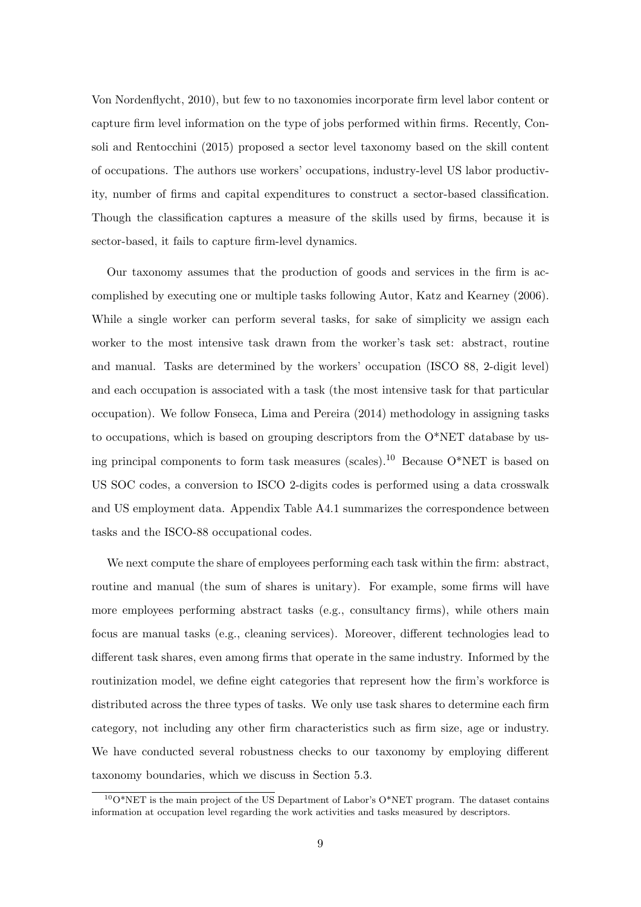[Von Nordenflycht,](#page-41-5) [2010\)](#page-41-5), but few to no taxonomies incorporate firm level labor content or capture firm level information on the type of jobs performed within firms. Recently, [Con](#page-36-6)[soli and Rentocchini](#page-36-6) [\(2015\)](#page-36-6) proposed a sector level taxonomy based on the skill content of occupations. The authors use workers' occupations, industry-level US labor productivity, number of firms and capital expenditures to construct a sector-based classification. Though the classification captures a measure of the skills used by firms, because it is sector-based, it fails to capture firm-level dynamics.

Our taxonomy assumes that the production of goods and services in the firm is accomplished by executing one or multiple tasks following [Autor, Katz and Kearney](#page-34-4) [\(2006\)](#page-34-4). While a single worker can perform several tasks, for sake of simplicity we assign each worker to the most intensive task drawn from the worker's task set: abstract, routine and manual. Tasks are determined by the workers' occupation (ISCO 88, 2-digit level) and each occupation is associated with a task (the most intensive task for that particular occupation). We follow [Fonseca, Lima and Pereira](#page-37-6) [\(2014\)](#page-37-6) methodology in assigning tasks to occupations, which is based on grouping descriptors from the  $O^*NET$  database by us-ing principal components to form task measures (scales).<sup>[10](#page-0-0)</sup> Because  $O^*NET$  is based on US SOC codes, a conversion to ISCO 2-digits codes is performed using a data crosswalk and US employment data. Appendix Table [A4.1](#page-0-0) summarizes the correspondence between tasks and the ISCO-88 occupational codes.

We next compute the share of employees performing each task within the firm: abstract, routine and manual (the sum of shares is unitary). For example, some firms will have more employees performing abstract tasks (e.g., consultancy firms), while others main focus are manual tasks (e.g., cleaning services). Moreover, different technologies lead to different task shares, even among firms that operate in the same industry. Informed by the routinization model, we define eight categories that represent how the firm's workforce is distributed across the three types of tasks. We only use task shares to determine each firm category, not including any other firm characteristics such as firm size, age or industry. We have conducted several robustness checks to our taxonomy by employing different taxonomy boundaries, which we discuss in Section [5.3.](#page-23-0)

 $10^{\circ}$ NET is the main project of the US Department of Labor's O\*NET program. The dataset contains information at occupation level regarding the work activities and tasks measured by descriptors.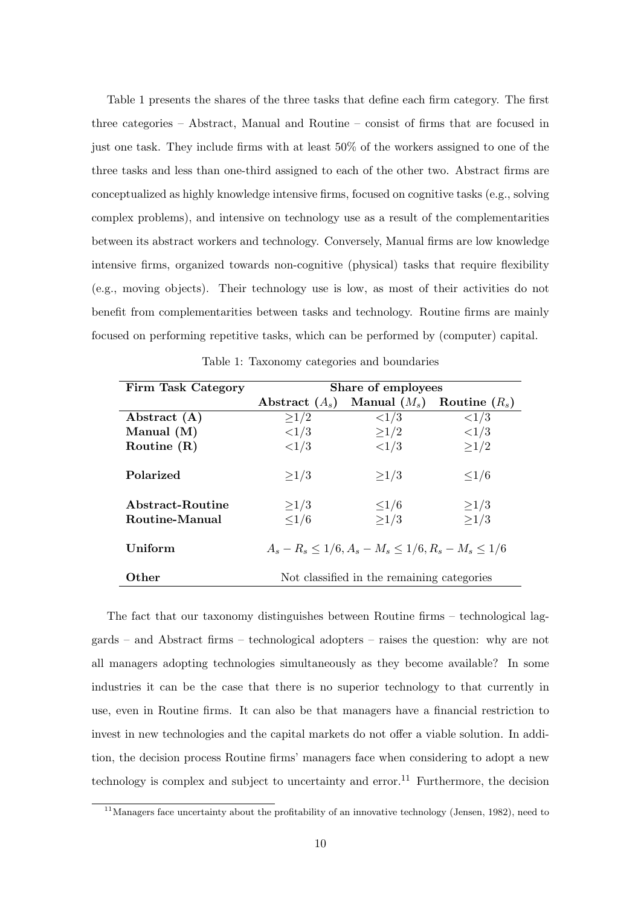Table [1](#page-10-0) presents the shares of the three tasks that define each firm category. The first three categories – Abstract, Manual and Routine – consist of firms that are focused in just one task. They include firms with at least 50% of the workers assigned to one of the three tasks and less than one-third assigned to each of the other two. Abstract firms are conceptualized as highly knowledge intensive firms, focused on cognitive tasks (e.g., solving complex problems), and intensive on technology use as a result of the complementarities between its abstract workers and technology. Conversely, Manual firms are low knowledge intensive firms, organized towards non-cognitive (physical) tasks that require flexibility (e.g., moving objects). Their technology use is low, as most of their activities do not benefit from complementarities between tasks and technology. Routine firms are mainly focused on performing repetitive tasks, which can be performed by (computer) capital.

<span id="page-10-0"></span>

| Firm Task Category |                  | Share of employees                                                 |                 |
|--------------------|------------------|--------------------------------------------------------------------|-----------------|
|                    | Abstract $(A_s)$ | Manual $(M_s)$                                                     | Routine $(R_s)$ |
| Abstract $(A)$     | $\geq1/2$        | $\langle 1/3$                                                      | ${<}1/3$        |
| Manual $(M)$       | ${<}1/3$         | $\geq1/2$                                                          | ${<}1/3$        |
| Routine $(R)$      | ${<}1/3$         | $\langle 1/3$                                                      | $\geq1/2$       |
| Polarized          | $\geq$ 1/3       | $\geq$ 1/3                                                         | $\leq 1/6$      |
| Abstract-Routine   | $\geq1/3$        | $\leq 1/6$                                                         | $\geq1/3$       |
| Routine-Manual     | $\leq$ 1/6       | $\geq$ 1/3                                                         | $\geq$ 1/3      |
| Uniform            |                  | $A_s - R_s \leq 1/6$ , $A_s - M_s \leq 1/6$ , $R_s - M_s \leq 1/6$ |                 |
| Other              |                  | Not classified in the remaining categories                         |                 |

Table 1: Taxonomy categories and boundaries

The fact that our taxonomy distinguishes between Routine firms – technological laggards – and Abstract firms – technological adopters – raises the question: why are not all managers adopting technologies simultaneously as they become available? In some industries it can be the case that there is no superior technology to that currently in use, even in Routine firms. It can also be that managers have a financial restriction to invest in new technologies and the capital markets do not offer a viable solution. In addition, the decision process Routine firms' managers face when considering to adopt a new technology is complex and subject to uncertainty and error.<sup>[11](#page-0-0)</sup> Furthermore, the decision

 $11$ Managers face uncertainty about the profitability of an innovative technology [\(Jensen,](#page-38-8) [1982\)](#page-38-8), need to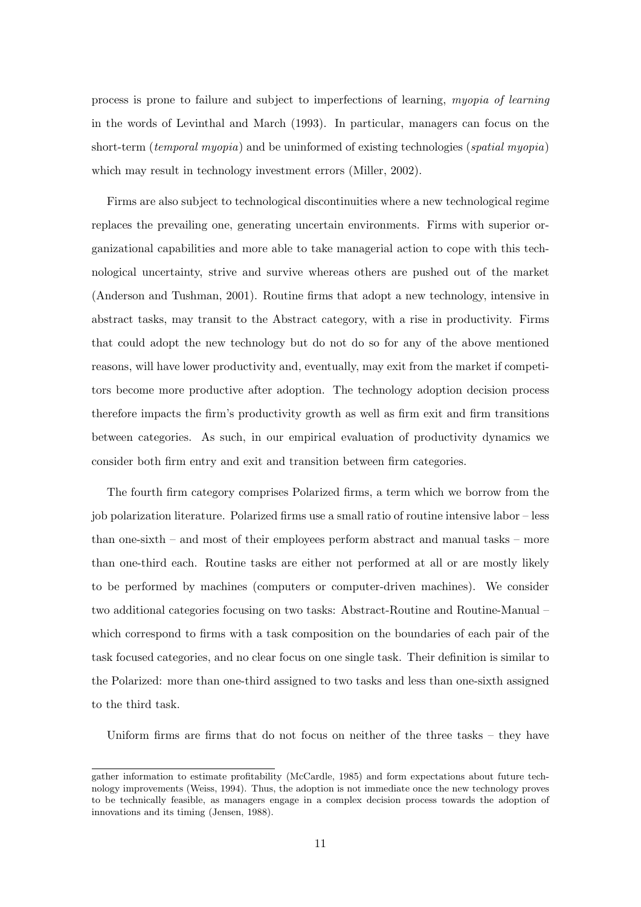process is prone to failure and subject to imperfections of learning, myopia of learning in the words of [Levinthal and March](#page-39-7) [\(1993\)](#page-39-7). In particular, managers can focus on the short-term (*temporal myopia*) and be uninformed of existing technologies (*spatial myopia*) which may result in technology investment errors [\(Miller,](#page-40-5) [2002\)](#page-40-5).

Firms are also subject to technological discontinuities where a new technological regime replaces the prevailing one, generating uncertain environments. Firms with superior organizational capabilities and more able to take managerial action to cope with this technological uncertainty, strive and survive whereas others are pushed out of the market [\(Anderson and Tushman,](#page-33-7) [2001\)](#page-33-7). Routine firms that adopt a new technology, intensive in abstract tasks, may transit to the Abstract category, with a rise in productivity. Firms that could adopt the new technology but do not do so for any of the above mentioned reasons, will have lower productivity and, eventually, may exit from the market if competitors become more productive after adoption. The technology adoption decision process therefore impacts the firm's productivity growth as well as firm exit and firm transitions between categories. As such, in our empirical evaluation of productivity dynamics we consider both firm entry and exit and transition between firm categories.

The fourth firm category comprises Polarized firms, a term which we borrow from the job polarization literature. Polarized firms use a small ratio of routine intensive labor – less than one-sixth – and most of their employees perform abstract and manual tasks – more than one-third each. Routine tasks are either not performed at all or are mostly likely to be performed by machines (computers or computer-driven machines). We consider two additional categories focusing on two tasks: Abstract-Routine and Routine-Manual – which correspond to firms with a task composition on the boundaries of each pair of the task focused categories, and no clear focus on one single task. Their definition is similar to the Polarized: more than one-third assigned to two tasks and less than one-sixth assigned to the third task.

Uniform firms are firms that do not focus on neither of the three tasks – they have

gather information to estimate profitability [\(McCardle,](#page-40-6) [1985\)](#page-40-6) and form expectations about future technology improvements [\(Weiss,](#page-41-6) [1994\)](#page-41-6). Thus, the adoption is not immediate once the new technology proves to be technically feasible, as managers engage in a complex decision process towards the adoption of innovations and its timing [\(Jensen,](#page-38-9) [1988\)](#page-38-9).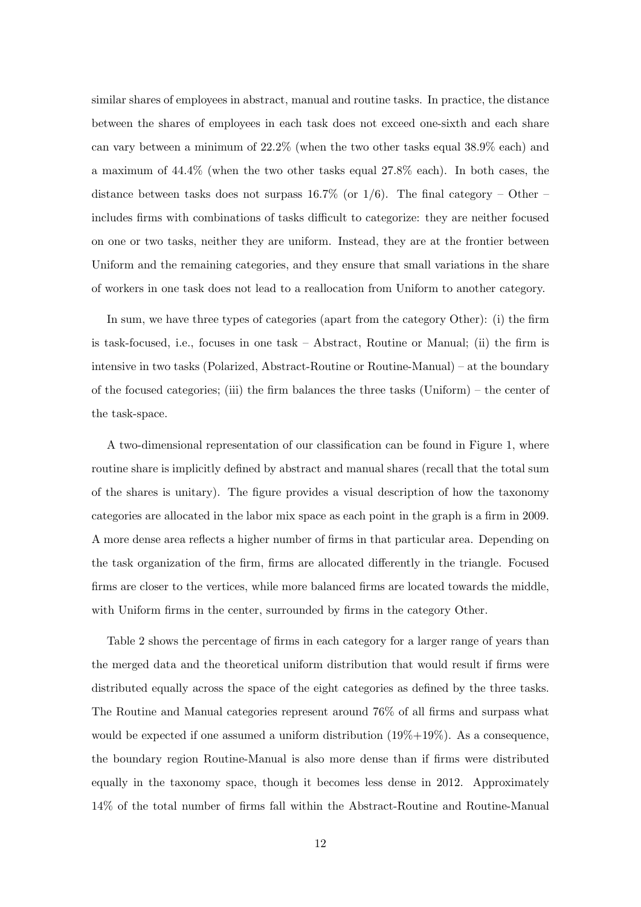similar shares of employees in abstract, manual and routine tasks. In practice, the distance between the shares of employees in each task does not exceed one-sixth and each share can vary between a minimum of 22.2% (when the two other tasks equal 38.9% each) and a maximum of 44.4% (when the two other tasks equal 27.8% each). In both cases, the distance between tasks does not surpass  $16.7\%$  (or  $1/6$ ). The final category – Other – includes firms with combinations of tasks difficult to categorize: they are neither focused on one or two tasks, neither they are uniform. Instead, they are at the frontier between Uniform and the remaining categories, and they ensure that small variations in the share of workers in one task does not lead to a reallocation from Uniform to another category.

In sum, we have three types of categories (apart from the category Other): (i) the firm is task-focused, i.e., focuses in one task – Abstract, Routine or Manual; (ii) the firm is intensive in two tasks (Polarized, Abstract-Routine or Routine-Manual) – at the boundary of the focused categories; (iii) the firm balances the three tasks  $(Uniform)$  – the center of the task-space.

A two-dimensional representation of our classification can be found in Figure [1,](#page-13-0) where routine share is implicitly defined by abstract and manual shares (recall that the total sum of the shares is unitary). The figure provides a visual description of how the taxonomy categories are allocated in the labor mix space as each point in the graph is a firm in 2009. A more dense area reflects a higher number of firms in that particular area. Depending on the task organization of the firm, firms are allocated differently in the triangle. Focused firms are closer to the vertices, while more balanced firms are located towards the middle, with Uniform firms in the center, surrounded by firms in the category Other.

Table [2](#page-14-0) shows the percentage of firms in each category for a larger range of years than the merged data and the theoretical uniform distribution that would result if firms were distributed equally across the space of the eight categories as defined by the three tasks. The Routine and Manual categories represent around 76% of all firms and surpass what would be expected if one assumed a uniform distribution  $(19\% + 19\%)$ . As a consequence, the boundary region Routine-Manual is also more dense than if firms were distributed equally in the taxonomy space, though it becomes less dense in 2012. Approximately 14% of the total number of firms fall within the Abstract-Routine and Routine-Manual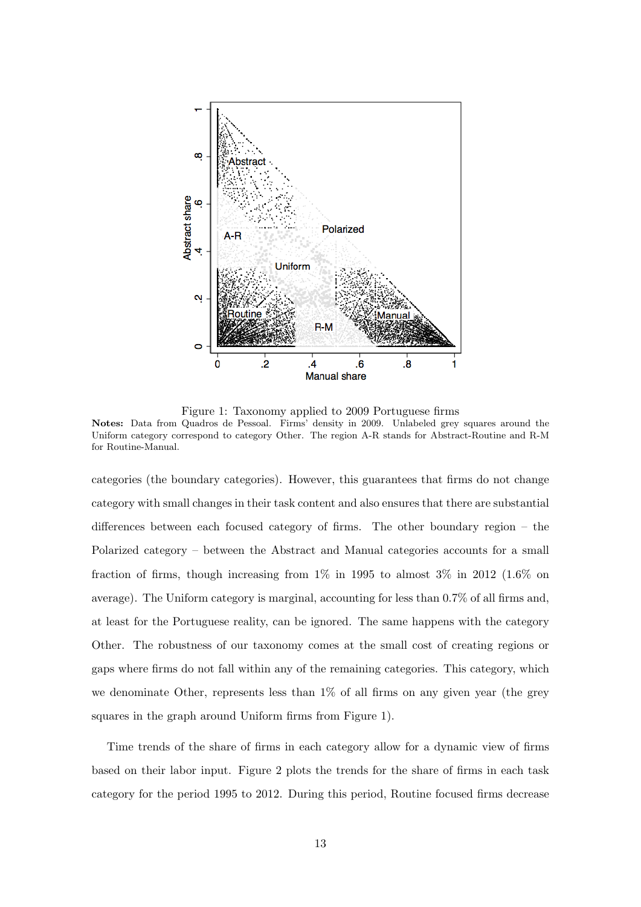<span id="page-13-0"></span>

Figure 1: Taxonomy applied to 2009 Portuguese firms Notes: Data from Quadros de Pessoal. Firms' density in 2009. Unlabeled grey squares around the Uniform category correspond to category Other. The region A-R stands for Abstract-Routine and R-M for Routine-Manual.

categories (the boundary categories). However, this guarantees that firms do not change category with small changes in their task content and also ensures that there are substantial differences between each focused category of firms. The other boundary region – the Polarized category – between the Abstract and Manual categories accounts for a small fraction of firms, though increasing from  $1\%$  in 1995 to almost  $3\%$  in 2012 (1.6% on average). The Uniform category is marginal, accounting for less than 0.7% of all firms and, at least for the Portuguese reality, can be ignored. The same happens with the category Other. The robustness of our taxonomy comes at the small cost of creating regions or gaps where firms do not fall within any of the remaining categories. This category, which we denominate Other, represents less than 1% of all firms on any given year (the grey squares in the graph around Uniform firms from Figure [1\)](#page-13-0).

Time trends of the share of firms in each category allow for a dynamic view of firms based on their labor input. Figure [2](#page-15-0) plots the trends for the share of firms in each task category for the period 1995 to 2012. During this period, Routine focused firms decrease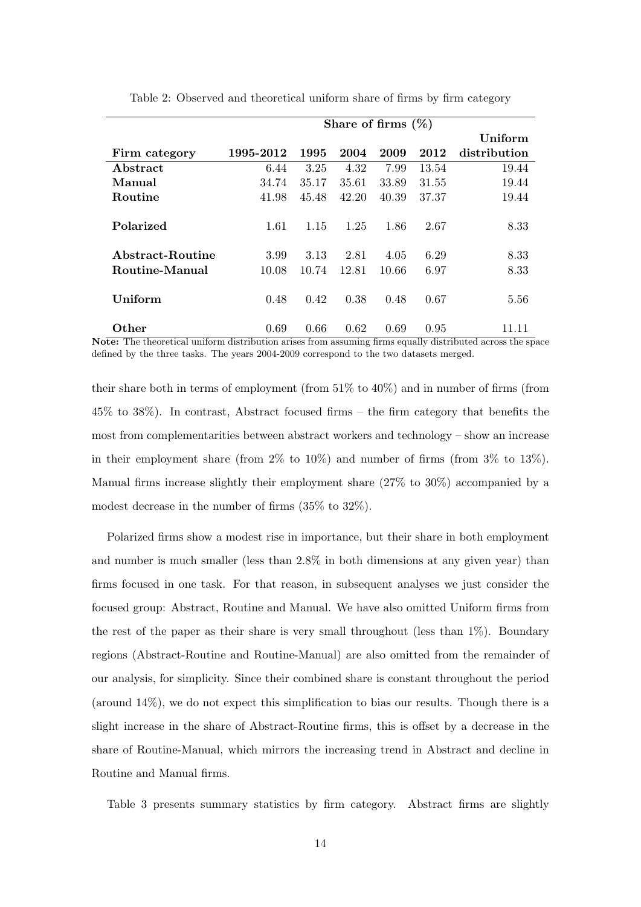<span id="page-14-0"></span>

|                                                                                                                  |           |       | Share of firms $(\%)$ |       |       |              |
|------------------------------------------------------------------------------------------------------------------|-----------|-------|-----------------------|-------|-------|--------------|
|                                                                                                                  |           |       |                       |       |       | Uniform      |
| Firm category                                                                                                    | 1995-2012 | 1995  | 2004                  | 2009  | 2012  | distribution |
| Abstract                                                                                                         | 6.44      | 3.25  | 4.32                  | 7.99  | 13.54 | 19.44        |
| Manual                                                                                                           | 34.74     | 35.17 | 35.61                 | 33.89 | 31.55 | 19.44        |
| Routine                                                                                                          | 41.98     | 45.48 | 42.20                 | 40.39 | 37.37 | 19.44        |
|                                                                                                                  |           |       |                       |       |       |              |
| Polarized                                                                                                        | 1.61      | 1.15  | 1.25                  | 1.86  | 2.67  | 8.33         |
|                                                                                                                  |           |       |                       |       |       |              |
| Abstract-Routine                                                                                                 | 3.99      | 3.13  | 2.81                  | 4.05  | 6.29  | 8.33         |
| Routine-Manual                                                                                                   | 10.08     | 10.74 | 12.81                 | 10.66 | 6.97  | 8.33         |
|                                                                                                                  |           |       |                       |       |       |              |
| Uniform                                                                                                          | 0.48      | 0.42  | 0.38                  | 0.48  | 0.67  | 5.56         |
|                                                                                                                  |           |       |                       |       |       |              |
| Other<br>stor The theoretical uniform distribution anique from accumular fines acually distributed across the sp | 0.69      | 0.66  | 0.62                  | 0.69  | 0.95  | 11.11        |

Table 2: Observed and theoretical uniform share of firms by firm category

Note: The theoretical uniform distribution arises from assuming firms equally distributed across the space defined by the three tasks. The years 2004-2009 correspond to the two datasets merged.

their share both in terms of employment (from 51% to 40%) and in number of firms (from 45% to 38%). In contrast, Abstract focused firms – the firm category that benefits the most from complementarities between abstract workers and technology – show an increase in their employment share (from  $2\%$  to  $10\%$ ) and number of firms (from  $3\%$  to  $13\%$ ). Manual firms increase slightly their employment share (27% to 30%) accompanied by a modest decrease in the number of firms (35% to 32%).

Polarized firms show a modest rise in importance, but their share in both employment and number is much smaller (less than 2.8% in both dimensions at any given year) than firms focused in one task. For that reason, in subsequent analyses we just consider the focused group: Abstract, Routine and Manual. We have also omitted Uniform firms from the rest of the paper as their share is very small throughout (less than 1%). Boundary regions (Abstract-Routine and Routine-Manual) are also omitted from the remainder of our analysis, for simplicity. Since their combined share is constant throughout the period (around 14%), we do not expect this simplification to bias our results. Though there is a slight increase in the share of Abstract-Routine firms, this is offset by a decrease in the share of Routine-Manual, which mirrors the increasing trend in Abstract and decline in Routine and Manual firms.

Table [3](#page-17-0) presents summary statistics by firm category. Abstract firms are slightly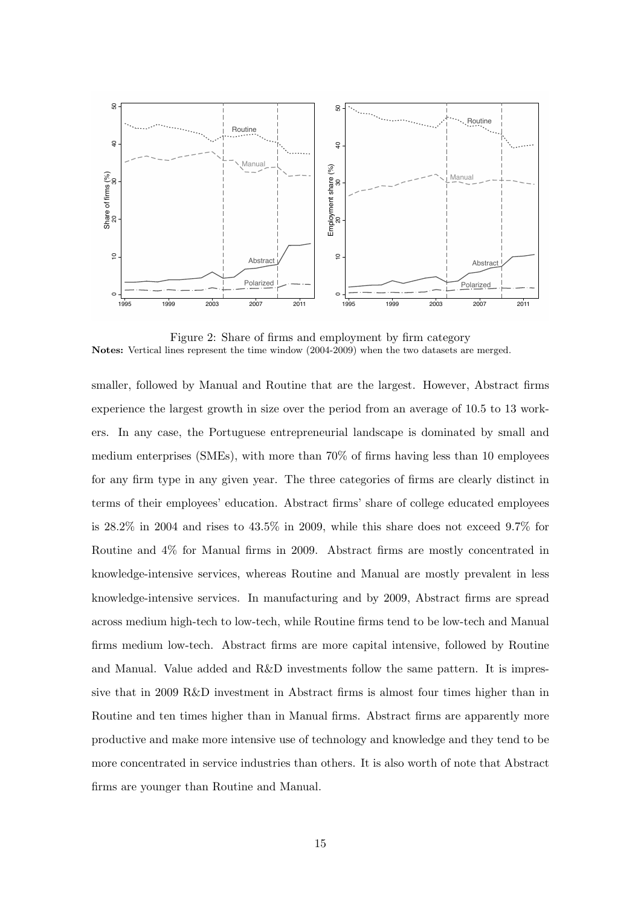<span id="page-15-0"></span>

Figure 2: Share of firms and employment by firm category Notes: Vertical lines represent the time window (2004-2009) when the two datasets are merged.

smaller, followed by Manual and Routine that are the largest. However, Abstract firms experience the largest growth in size over the period from an average of 10.5 to 13 workers. In any case, the Portuguese entrepreneurial landscape is dominated by small and medium enterprises (SMEs), with more than 70% of firms having less than 10 employees for any firm type in any given year. The three categories of firms are clearly distinct in terms of their employees' education. Abstract firms' share of college educated employees is 28.2% in 2004 and rises to 43.5% in 2009, while this share does not exceed 9.7% for Routine and 4% for Manual firms in 2009. Abstract firms are mostly concentrated in knowledge-intensive services, whereas Routine and Manual are mostly prevalent in less knowledge-intensive services. In manufacturing and by 2009, Abstract firms are spread across medium high-tech to low-tech, while Routine firms tend to be low-tech and Manual firms medium low-tech. Abstract firms are more capital intensive, followed by Routine and Manual. Value added and R&D investments follow the same pattern. It is impressive that in 2009 R&D investment in Abstract firms is almost four times higher than in Routine and ten times higher than in Manual firms. Abstract firms are apparently more productive and make more intensive use of technology and knowledge and they tend to be more concentrated in service industries than others. It is also worth of note that Abstract firms are younger than Routine and Manual.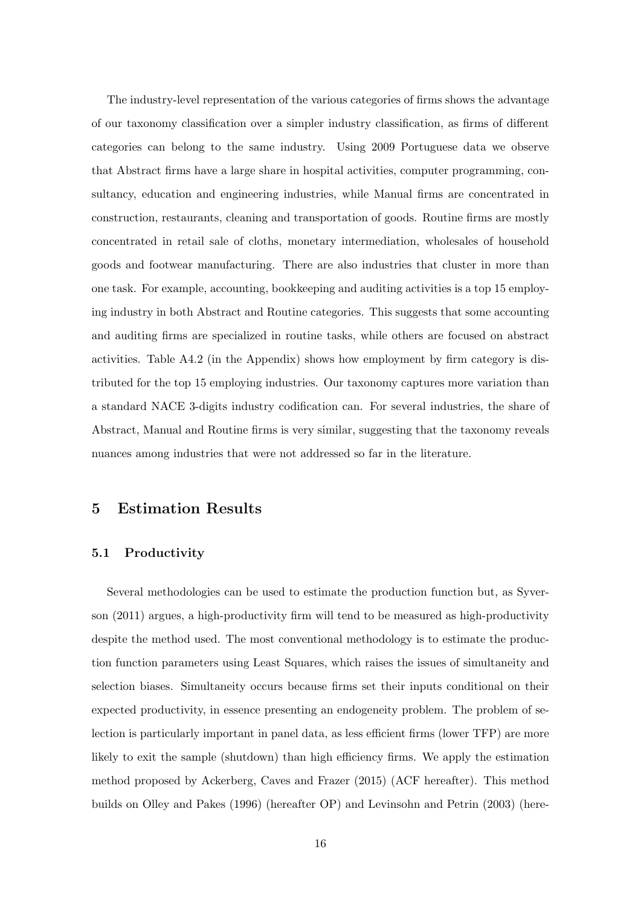The industry-level representation of the various categories of firms shows the advantage of our taxonomy classification over a simpler industry classification, as firms of different categories can belong to the same industry. Using 2009 Portuguese data we observe that Abstract firms have a large share in hospital activities, computer programming, consultancy, education and engineering industries, while Manual firms are concentrated in construction, restaurants, cleaning and transportation of goods. Routine firms are mostly concentrated in retail sale of cloths, monetary intermediation, wholesales of household goods and footwear manufacturing. There are also industries that cluster in more than one task. For example, accounting, bookkeeping and auditing activities is a top 15 employing industry in both Abstract and Routine categories. This suggests that some accounting and auditing firms are specialized in routine tasks, while others are focused on abstract activities. Table [A4.2](#page-47-0) (in the Appendix) shows how employment by firm category is distributed for the top 15 employing industries. Our taxonomy captures more variation than a standard NACE 3-digits industry codification can. For several industries, the share of Abstract, Manual and Routine firms is very similar, suggesting that the taxonomy reveals nuances among industries that were not addressed so far in the literature.

#### <span id="page-16-0"></span>5 Estimation Results

#### 5.1 Productivity

Several methodologies can be used to estimate the production function but, as [Syver](#page-41-3)[son](#page-41-3) [\(2011\)](#page-41-3) argues, a high-productivity firm will tend to be measured as high-productivity despite the method used. The most conventional methodology is to estimate the production function parameters using Least Squares, which raises the issues of simultaneity and selection biases. Simultaneity occurs because firms set their inputs conditional on their expected productivity, in essence presenting an endogeneity problem. The problem of selection is particularly important in panel data, as less efficient firms (lower TFP) are more likely to exit the sample (shutdown) than high efficiency firms. We apply the estimation method proposed by [Ackerberg, Caves and Frazer](#page-33-3) [\(2015\)](#page-33-3) (ACF hereafter). This method builds on [Olley and Pakes](#page-40-0) [\(1996\)](#page-40-0) (hereafter OP) and [Levinsohn and Petrin](#page-39-8) [\(2003\)](#page-39-8) (here-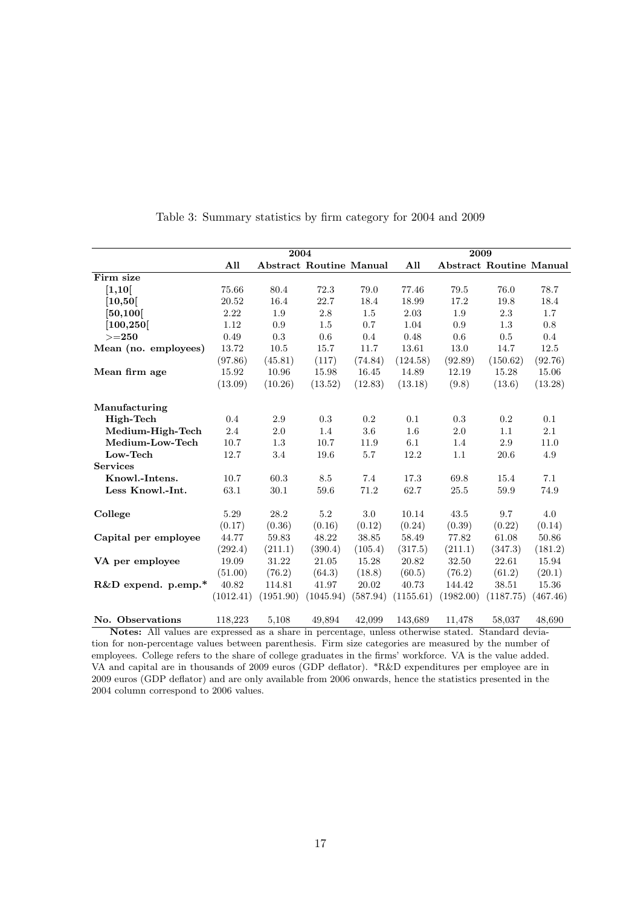<span id="page-17-0"></span>

|                      |           | 2004                           |           |          |           | 2009                           |           |          |
|----------------------|-----------|--------------------------------|-----------|----------|-----------|--------------------------------|-----------|----------|
|                      | All       | <b>Abstract Routine Manual</b> |           |          | All       | <b>Abstract Routine Manual</b> |           |          |
| Firm size            |           |                                |           |          |           |                                |           |          |
| $\vert 1,10 \vert$   | 75.66     | 80.4                           | 72.3      | 79.0     | 77.46     | 79.5                           | 76.0      | 78.7     |
| [10,50]              | 20.52     | 16.4                           | 22.7      | 18.4     | 18.99     | 17.2                           | 19.8      | 18.4     |
| [50, 100]            | 2.22      | 1.9                            | 2.8       | 1.5      | 2.03      | 1.9                            | 2.3       | 1.7      |
| [100, 250]           | 1.12      | 0.9                            | 1.5       | 0.7      | 1.04      | 0.9                            | 1.3       | $0.8\,$  |
| $>=250$              | 0.49      | 0.3                            | 0.6       | 0.4      | 0.48      | $0.6\,$                        | 0.5       | $0.4\,$  |
| Mean (no. employees) | 13.72     | 10.5                           | 15.7      | 11.7     | 13.61     | 13.0                           | 14.7      | 12.5     |
|                      | (97.86)   | (45.81)                        | (117)     | (74.84)  | (124.58)  | (92.89)                        | (150.62)  | (92.76)  |
| Mean firm age        | 15.92     | 10.96                          | 15.98     | 16.45    | 14.89     | 12.19                          | 15.28     | 15.06    |
|                      | (13.09)   | (10.26)                        | (13.52)   | (12.83)  | (13.18)   | (9.8)                          | (13.6)    | (13.28)  |
| Manufacturing        |           |                                |           |          |           |                                |           |          |
| High-Tech            | 0.4       | 2.9                            | 0.3       | 0.2      | 0.1       | 0.3                            | 0.2       | 0.1      |
| Medium-High-Tech     | 2.4       | 2.0                            | 1.4       | 3.6      | 1.6       | 2.0                            | 1.1       | 2.1      |
| Medium-Low-Tech      | 10.7      | 1.3                            | 10.7      | 11.9     | 6.1       | 1.4                            | 2.9       | 11.0     |
| Low-Tech             | 12.7      | 3.4                            | 19.6      | 5.7      | 12.2      | 1.1                            | 20.6      | 4.9      |
| <b>Services</b>      |           |                                |           |          |           |                                |           |          |
| Knowl.-Intens.       | 10.7      | 60.3                           | 8.5       | 7.4      | 17.3      | 69.8                           | 15.4      | 7.1      |
| Less Knowl.-Int.     | 63.1      | 30.1                           | 59.6      | 71.2     | 62.7      | 25.5                           | 59.9      | 74.9     |
| College              | 5.29      | 28.2                           | 5.2       | 3.0      | 10.14     | 43.5                           | 9.7       | 4.0      |
|                      | (0.17)    | (0.36)                         | (0.16)    | (0.12)   | (0.24)    | (0.39)                         | (0.22)    | (0.14)   |
| Capital per employee | 44.77     | 59.83                          | 48.22     | 38.85    | 58.49     | 77.82                          | 61.08     | 50.86    |
|                      | (292.4)   | (211.1)                        | (390.4)   | (105.4)  | (317.5)   | (211.1)                        | (347.3)   | (181.2)  |
| VA per employee      | 19.09     | 31.22                          | 21.05     | 15.28    | 20.82     | 32.50                          | 22.61     | 15.94    |
|                      | (51.00)   | (76.2)                         | (64.3)    | (18.8)   | (60.5)    | (76.2)                         | (61.2)    | (20.1)   |
| R&D expend. p.emp.*  | 40.82     | 114.81                         | 41.97     | 20.02    | 40.73     | 144.42                         | 38.51     | 15.36    |
|                      | (1012.41) | (1951.90)                      | (1045.94) | (587.94) | (1155.61) | (1982.00)                      | (1187.75) | (467.46) |
| No. Observations     | 118,223   | 5,108                          | 49,894    | 42,099   | 143,689   | 11,478                         | 58,037    | 48,690   |

Table 3: Summary statistics by firm category for 2004 and 2009

Notes: All values are expressed as a share in percentage, unless otherwise stated. Standard deviation for non-percentage values between parenthesis. Firm size categories are measured by the number of employees. College refers to the share of college graduates in the firms' workforce. VA is the value added. VA and capital are in thousands of 2009 euros (GDP deflator). \*R&D expenditures per employee are in 2009 euros (GDP deflator) and are only available from 2006 onwards, hence the statistics presented in the 2004 column correspond to 2006 values.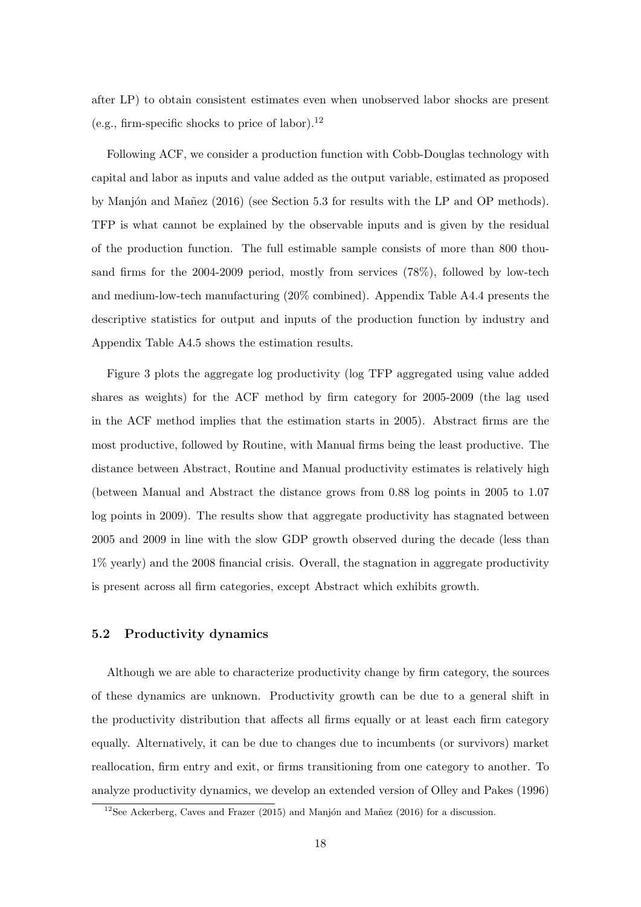after LP) to obtain consistent estimates even when unobserved labor shocks are present (e.g., firm-specific shocks to price of labor). $^{12}$  $^{12}$  $^{12}$ 

Following ACF, we consider a production function with Cobb-Douglas technology with capital and labor as inputs and value added as the output variable, estimated as proposed by Manjón and Mañez  $(2016)$  (see Section [5.3](#page-23-0) for results with the LP and OP methods). TFP is what cannot be explained by the observable inputs and is given by the residual of the production function. The full estimable sample consists of more than 800 thousand firms for the 2004-2009 period, mostly from services (78%), followed by low-tech and medium-low-tech manufacturing (20% combined). Appendix Table [A4.4](#page-21-0) presents the descriptive statistics for output and inputs of the production function by industry and Appendix Table [A4.5](#page-23-1) shows the estimation results.

Figure [3](#page-19-0) plots the aggregate log productivity (log TFP aggregated using value added shares as weights) for the ACF method by firm category for 2005-2009 (the lag used in the ACF method implies that the estimation starts in 2005). Abstract firms are the most productive, followed by Routine, with Manual firms being the least productive. The distance between Abstract, Routine and Manual productivity estimates is relatively high (between Manual and Abstract the distance grows from 0.88 log points in 2005 to 1.07 log points in 2009). The results show that aggregate productivity has stagnated between 2005 and 2009 in line with the slow GDP growth observed during the decade (less than 1% yearly) and the 2008 financial crisis. Overall, the stagnation in aggregate productivity is present across all firm categories, except Abstract which exhibits growth.

#### <span id="page-18-0"></span>5.2 Productivity dynamics

Although we are able to characterize productivity change by firm category, the sources of these dynamics are unknown. Productivity growth can be due to a general shift in the productivity distribution that affects all firms equally or at least each firm category equally. Alternatively, it can be due to changes due to incumbents (or survivors) market reallocation, firm entry and exit, or firms transitioning from one category to another. To analyze productivity dynamics, we develop an extended version of [Olley and Pakes](#page-40-0) [\(1996\)](#page-40-0)

 $12$ See [Ackerberg, Caves and Frazer](#page-33-3) [\(2015\)](#page-33-3) and Manjón and Mañez [\(2016\)](#page-40-7) for a discussion.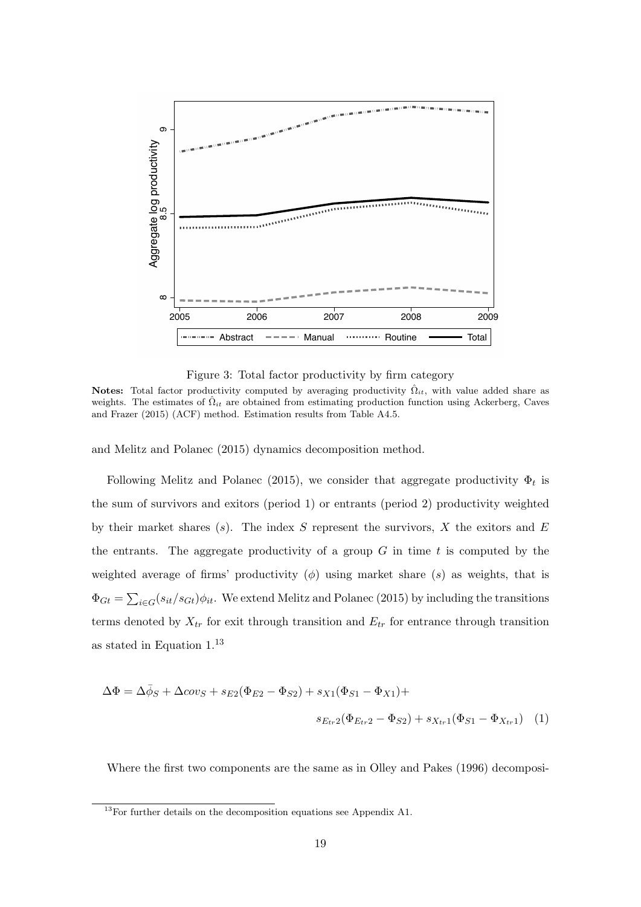<span id="page-19-0"></span>

Figure 3: Total factor productivity by firm category

Notes: Total factor productivity computed by averaging productivity  $\hat{\Omega}_{it}$ , with value added share as weights. The estimates of  $\hat{\Omega}_{it}$  are obtained from estimating production function using [Ackerberg, Caves](#page-33-3) [and Frazer](#page-33-3) [\(2015\)](#page-33-3) (ACF) method. Estimation results from Table [A4.5.](#page-23-1)

and [Melitz and Polanec](#page-40-1) [\(2015\)](#page-40-1) dynamics decomposition method.

Following [Melitz and Polanec](#page-40-1) [\(2015\)](#page-40-1), we consider that aggregate productivity  $\Phi_t$  is the sum of survivors and exitors (period 1) or entrants (period 2) productivity weighted by their market shares (s). The index  $S$  represent the survivors,  $X$  the exitors and  $E$ the entrants. The aggregate productivity of a group  $G$  in time  $t$  is computed by the weighted average of firms' productivity  $(\phi)$  using market share (s) as weights, that is  $\Phi_{Gt} = \sum_{i \in G} (s_{it}/s_{Gt})\phi_{it}$ . We extend [Melitz and Polanec](#page-40-1) [\(2015\)](#page-40-1) by including the transitions terms denoted by  $X_{tr}$  for exit through transition and  $E_{tr}$  for entrance through transition as stated in Equation [1.](#page-19-1) [13](#page-0-0)

$$
\Delta \Phi = \Delta \bar{\phi}_S + \Delta \cos s + s_{E2} (\Phi_{E2} - \Phi_{S2}) + s_{X1} (\Phi_{S1} - \Phi_{X1}) + s_{E_{tr}2} (\Phi_{E_{tr}2} - \Phi_{S2}) + s_{X_{tr}1} (\Phi_{S1} - \Phi_{X_{tr}1})
$$
 (1)

<span id="page-19-1"></span>Where the first two components are the same as in [Olley and Pakes](#page-40-0) [\(1996\)](#page-40-0) decomposi-

 $^{13}$  For further details on the decomposition equations see Appendix [A1.](#page-42-0)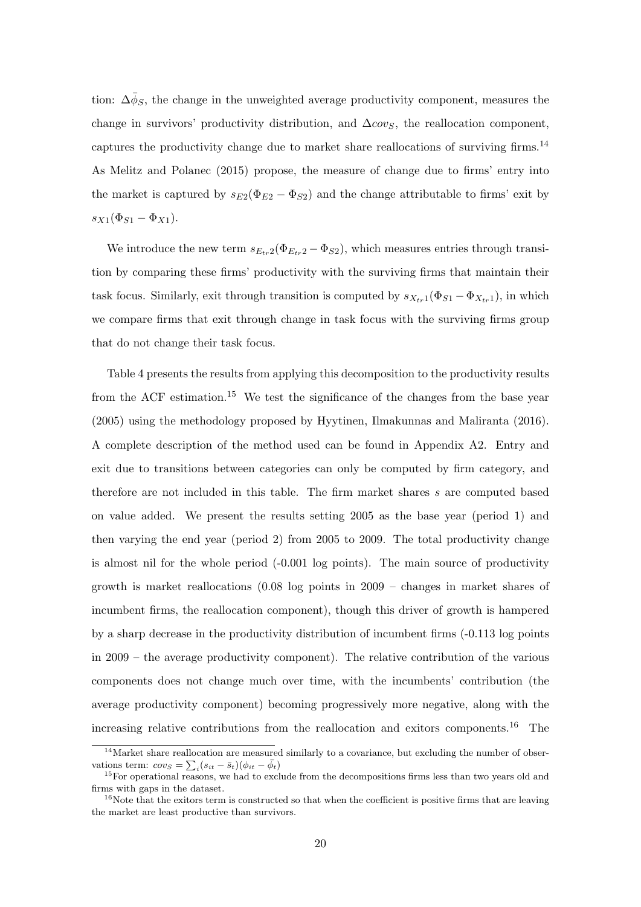tion:  $\Delta\bar{\phi}_S$ , the change in the unweighted average productivity component, measures the change in survivors' productivity distribution, and  $\Delta cov_s$ , the reallocation component, captures the productivity change due to market share reallocations of surviving firms.<sup>[14](#page-0-0)</sup> As [Melitz and Polanec](#page-40-1) [\(2015\)](#page-40-1) propose, the measure of change due to firms' entry into the market is captured by  $s_{E2}(\Phi_{E2} - \Phi_{S2})$  and the change attributable to firms' exit by  $s_{X1}(\Phi_{S1} - \Phi_{X1}).$ 

We introduce the new term  $s_{E_{tr}2}(\Phi_{E_{tr}2} - \Phi_{S2})$ , which measures entries through transition by comparing these firms' productivity with the surviving firms that maintain their task focus. Similarly, exit through transition is computed by  $s_{X_{tr}1}(\Phi_{S1} - \Phi_{X_{tr}1})$ , in which we compare firms that exit through change in task focus with the surviving firms group that do not change their task focus.

Table [4](#page-21-0) presents the results from applying this decomposition to the productivity results from the ACF estimation.<sup>[15](#page-0-0)</sup> We test the significance of the changes from the base year (2005) using the methodology proposed by [Hyytinen, Ilmakunnas and Maliranta](#page-38-6) [\(2016\)](#page-38-6). A complete description of the method used can be found in Appendix [A2.](#page-43-0) Entry and exit due to transitions between categories can only be computed by firm category, and therefore are not included in this table. The firm market shares s are computed based on value added. We present the results setting 2005 as the base year (period 1) and then varying the end year (period 2) from 2005 to 2009. The total productivity change is almost nil for the whole period (-0.001 log points). The main source of productivity growth is market reallocations (0.08 log points in 2009 – changes in market shares of incumbent firms, the reallocation component), though this driver of growth is hampered by a sharp decrease in the productivity distribution of incumbent firms (-0.113 log points in 2009 – the average productivity component). The relative contribution of the various components does not change much over time, with the incumbents' contribution (the average productivity component) becoming progressively more negative, along with the increasing relative contributions from the reallocation and exitors components.<sup>[16](#page-0-0)</sup> The

 $14$ Market share reallocation are measured similarly to a covariance, but excluding the number of observations term:  $cov_S = \sum_i (s_{it} - \bar{s}_t)(\phi_{it} - \bar{\phi}_t)$ 

 $15$  For operational reasons, we had to exclude from the decompositions firms less than two years old and firms with gaps in the dataset.

<sup>&</sup>lt;sup>16</sup>Note that the exitors term is constructed so that when the coefficient is positive firms that are leaving the market are least productive than survivors.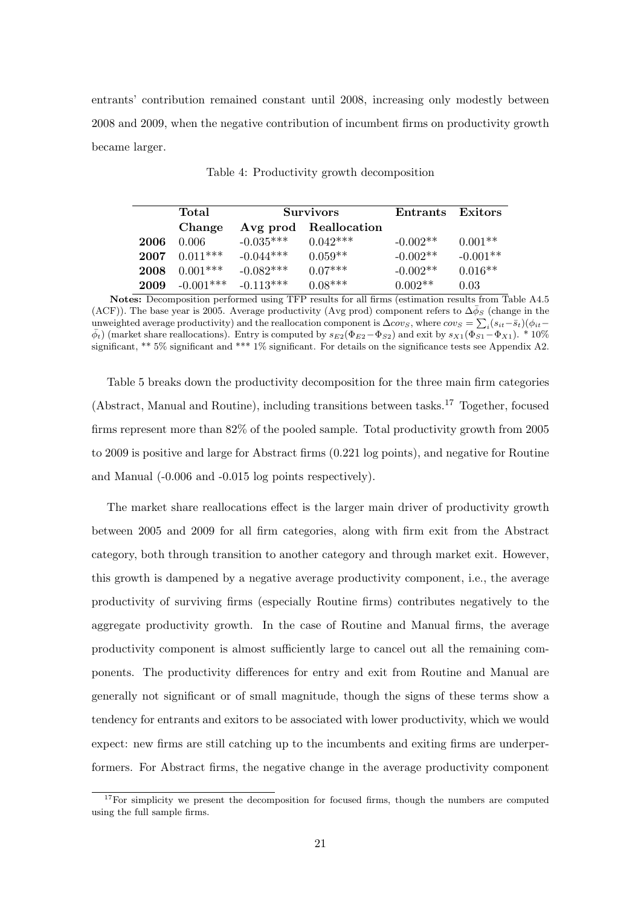<span id="page-21-0"></span>entrants' contribution remained constant until 2008, increasing only modestly between 2008 and 2009, when the negative contribution of incumbent firms on productivity growth became larger.

|      | Total       |             | <b>Survivors</b> | Entrants   | Exitors    |
|------|-------------|-------------|------------------|------------|------------|
|      | Change      | Avg prod    | Reallocation     |            |            |
| 2006 | 0.006       | $-0.035***$ | $0.042***$       | $-0.002**$ | $0.001**$  |
| 2007 | $0.011***$  | $-0.044***$ | $0.059**$        | $-0.002**$ | $-0.001**$ |
| 2008 | $0.001***$  | $-0.082***$ | $0.07***$        | $-0.002**$ | $0.016**$  |
| 2009 | $-0.001***$ | $-0.113***$ | $0.08***$        | $0.002**$  | 0.03       |

Table 4: Productivity growth decomposition

Notes: Decomposition performed using TFP results for all firms (estimation results from Table [A4.5](#page-23-1) (ACF)). The base year is 2005. Average productivity (Avg prod) component refers to  $\Delta \bar{\phi}_S$  (change in the unweighted average productivity) and the reallocation component is  $\Delta cov_s$ , where  $cov_s = \sum_i (s_{it} - \bar{s}_t)(\phi_{it} - \bar{s}_t)$  $\bar{\phi}_t$ ) (market share reallocations). Entry is computed by  $s_{E2}(\Phi_{E2}-\Phi_{S2})$  and exit by  $s_{X1}(\Phi_{S1}-\Phi_{X1})$ . \* 10% significant, \*\* 5% significant and \*\*\* 1% significant. For details on the significance tests see Appendix [A2.](#page-43-0)

Table [5](#page-23-1) breaks down the productivity decomposition for the three main firm categories (Abstract, Manual and Routine), including transitions between tasks.[17](#page-0-0) Together, focused firms represent more than 82% of the pooled sample. Total productivity growth from 2005 to 2009 is positive and large for Abstract firms (0.221 log points), and negative for Routine and Manual (-0.006 and -0.015 log points respectively).

The market share reallocations effect is the larger main driver of productivity growth between 2005 and 2009 for all firm categories, along with firm exit from the Abstract category, both through transition to another category and through market exit. However, this growth is dampened by a negative average productivity component, i.e., the average productivity of surviving firms (especially Routine firms) contributes negatively to the aggregate productivity growth. In the case of Routine and Manual firms, the average productivity component is almost sufficiently large to cancel out all the remaining components. The productivity differences for entry and exit from Routine and Manual are generally not significant or of small magnitude, though the signs of these terms show a tendency for entrants and exitors to be associated with lower productivity, which we would expect: new firms are still catching up to the incumbents and exiting firms are underperformers. For Abstract firms, the negative change in the average productivity component

 $17$  For simplicity we present the decomposition for focused firms, though the numbers are computed using the full sample firms.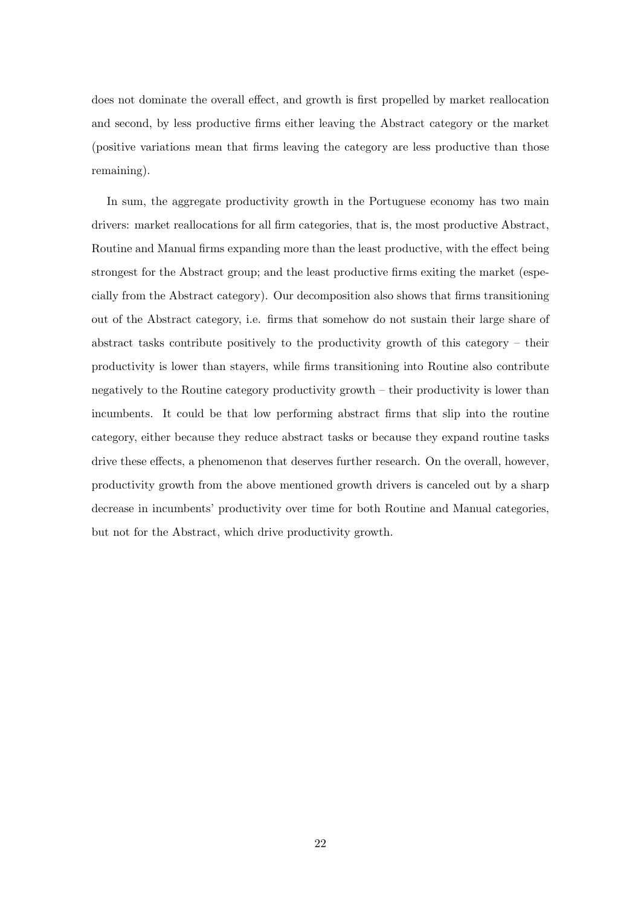does not dominate the overall effect, and growth is first propelled by market reallocation and second, by less productive firms either leaving the Abstract category or the market (positive variations mean that firms leaving the category are less productive than those remaining).

In sum, the aggregate productivity growth in the Portuguese economy has two main drivers: market reallocations for all firm categories, that is, the most productive Abstract, Routine and Manual firms expanding more than the least productive, with the effect being strongest for the Abstract group; and the least productive firms exiting the market (especially from the Abstract category). Our decomposition also shows that firms transitioning out of the Abstract category, i.e. firms that somehow do not sustain their large share of abstract tasks contribute positively to the productivity growth of this category – their productivity is lower than stayers, while firms transitioning into Routine also contribute negatively to the Routine category productivity growth – their productivity is lower than incumbents. It could be that low performing abstract firms that slip into the routine category, either because they reduce abstract tasks or because they expand routine tasks drive these effects, a phenomenon that deserves further research. On the overall, however, productivity growth from the above mentioned growth drivers is canceled out by a sharp decrease in incumbents' productivity over time for both Routine and Manual categories, but not for the Abstract, which drive productivity growth.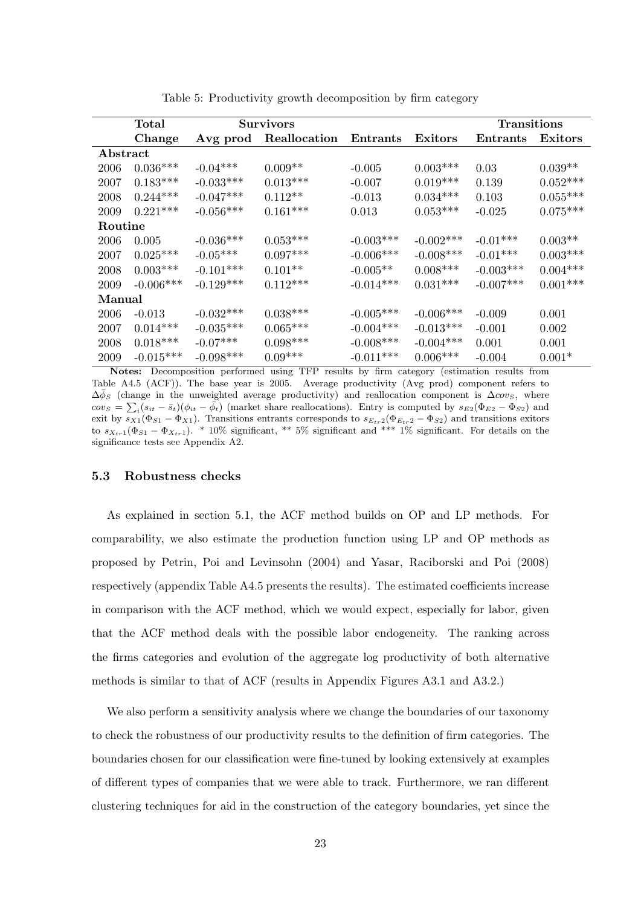<span id="page-23-1"></span>

|          | Total       |             | <b>Survivors</b>       |             |                | Transitions |                 |
|----------|-------------|-------------|------------------------|-------------|----------------|-------------|-----------------|
|          | Change      | Avg prod    | Reallocation           | Entrants    | <b>Exitors</b> | Entrants    | Exitors         |
| Abstract |             |             |                        |             |                |             |                 |
| 2006     | $0.036***$  | $-0.04***$  | $0.009**$              | $-0.005$    | $0.003***$     | 0.03        | $0.039**$       |
| 2007     | $0.183***$  | $-0.033***$ | $0.013***$             | $-0.007$    | $0.019***$     | 0.139       | $0.052^{***}\,$ |
| 2008     | $0.244***$  | $-0.047***$ | $0.112**$              | $-0.013$    | $0.034***$     | 0.103       | $0.055^{***}\,$ |
| 2009     | $0.221***$  | $-0.056***$ | $0.161***$             | 0.013       | $0.053***$     | $-0.025$    | $0.075***$      |
| Routine  |             |             |                        |             |                |             |                 |
| 2006     | 0.005       | $-0.036***$ | $0.053***$             | $-0.003***$ | $-0.002***$    | $-0.01***$  | $0.003**$       |
| 2007     | $0.025***$  | $-0.05***$  | $0.097***$             | $-0.006***$ | $-0.008***$    | $-0.01***$  | $0.003***$      |
| 2008     | $0.003***$  | $-0.101***$ | $0.101**$              | $-0.005**$  | $0.008***$     | $-0.003***$ | $0.004***$      |
| 2009     | $-0.006***$ | $-0.129***$ | $0.112***$             | $-0.014***$ | $0.031***$     | $-0.007***$ | $0.001***$      |
| Manual   |             |             |                        |             |                |             |                 |
| 2006     | $-0.013$    | $-0.032***$ | $0.038***$             | $-0.005***$ | $-0.006***$    | $-0.009$    | 0.001           |
| 2007     | $0.014***$  | $-0.035***$ | $0.065^{***}\,$        | $-0.004***$ | $-0.013***$    | $-0.001$    | 0.002           |
| 2008     | $0.018***$  | $-0.07***$  | $0.098^{\ast\ast\ast}$ | $-0.008***$ | $-0.004***$    | 0.001       | 0.001           |
| 2009     | $-0.015***$ | $-0.098***$ | $0.09***$<br>$-$       | $-0.011***$ | $0.006***$     | $-0.004$    | $0.001*$        |

Table 5: Productivity growth decomposition by firm category

Notes: Decomposition performed using TFP results by firm category (estimation results from Table [A4.5](#page-23-1) (ACF)). The base year is 2005. Average productivity (Avg prod) component refers to  $\Delta\bar{\phi}_S$  (change in the unweighted average productivity) and reallocation component is  $\Delta cov_S$ , where  $\cos S = \sum_i (s_{it} - \bar{s}_t)(\phi_{it} - \bar{\phi}_t)$  (market share reallocations). Entry is computed by  $s_{E2}(\Phi_{E2} - \Phi_{S2})$  and exit by  $s_{X1}(\Phi_{S1} - \Phi_{X1})$ . Transitions entrants corresponds to  $s_{E_{tr}2}(\Phi_{E_{tr}2} - \Phi_{S2})$  and transitions exitors to  $s_{X_{tr}1}(\Phi_{S1} - \Phi_{X_{tr}1})$ . \* 10% significant, \*\* 5% significant and \*\*\* 1% significant. For details on the significance tests see Appendix [A2.](#page-43-0)

#### <span id="page-23-0"></span>5.3 Robustness checks

As explained in section 5.1, the ACF method builds on OP and LP methods. For comparability, we also estimate the production function using LP and OP methods as proposed by [Petrin, Poi and Levinsohn](#page-40-8) [\(2004\)](#page-40-8) and [Yasar, Raciborski and Poi](#page-41-7) [\(2008\)](#page-41-7) respectively (appendix Table [A4.5](#page-23-1) presents the results). The estimated coefficients increase in comparison with the ACF method, which we would expect, especially for labor, given that the ACF method deals with the possible labor endogeneity. The ranking across the firms categories and evolution of the aggregate log productivity of both alternative methods is similar to that of ACF (results in Appendix Figures [A3.1](#page-0-0) and [A3.2.](#page-45-0))

We also perform a sensitivity analysis where we change the boundaries of our taxonomy to check the robustness of our productivity results to the definition of firm categories. The boundaries chosen for our classification were fine-tuned by looking extensively at examples of different types of companies that we were able to track. Furthermore, we ran different clustering techniques for aid in the construction of the category boundaries, yet since the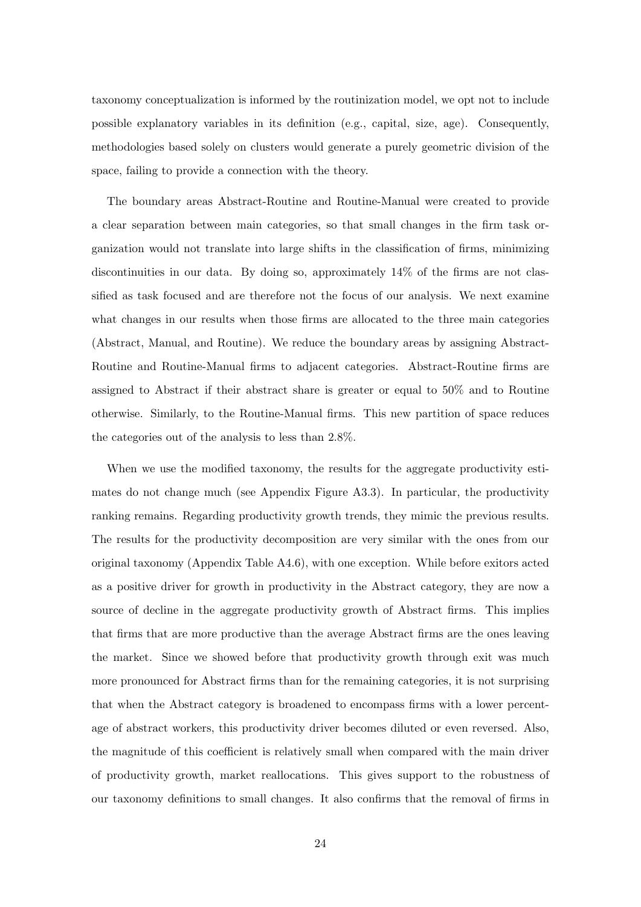taxonomy conceptualization is informed by the routinization model, we opt not to include possible explanatory variables in its definition (e.g., capital, size, age). Consequently, methodologies based solely on clusters would generate a purely geometric division of the space, failing to provide a connection with the theory.

The boundary areas Abstract-Routine and Routine-Manual were created to provide a clear separation between main categories, so that small changes in the firm task organization would not translate into large shifts in the classification of firms, minimizing discontinuities in our data. By doing so, approximately 14% of the firms are not classified as task focused and are therefore not the focus of our analysis. We next examine what changes in our results when those firms are allocated to the three main categories (Abstract, Manual, and Routine). We reduce the boundary areas by assigning Abstract-Routine and Routine-Manual firms to adjacent categories. Abstract-Routine firms are assigned to Abstract if their abstract share is greater or equal to 50% and to Routine otherwise. Similarly, to the Routine-Manual firms. This new partition of space reduces the categories out of the analysis to less than 2.8%.

When we use the modified taxonomy, the results for the aggregate productivity estimates do not change much (see Appendix Figure [A3.3\)](#page-45-1). In particular, the productivity ranking remains. Regarding productivity growth trends, they mimic the previous results. The results for the productivity decomposition are very similar with the ones from our original taxonomy (Appendix Table [A4.6\)](#page-50-0), with one exception. While before exitors acted as a positive driver for growth in productivity in the Abstract category, they are now a source of decline in the aggregate productivity growth of Abstract firms. This implies that firms that are more productive than the average Abstract firms are the ones leaving the market. Since we showed before that productivity growth through exit was much more pronounced for Abstract firms than for the remaining categories, it is not surprising that when the Abstract category is broadened to encompass firms with a lower percentage of abstract workers, this productivity driver becomes diluted or even reversed. Also, the magnitude of this coefficient is relatively small when compared with the main driver of productivity growth, market reallocations. This gives support to the robustness of our taxonomy definitions to small changes. It also confirms that the removal of firms in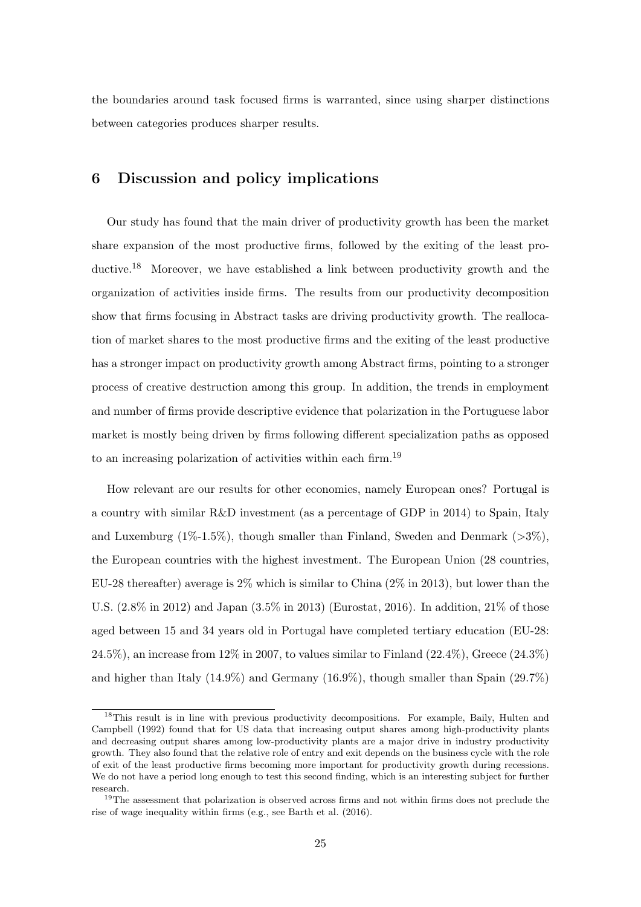the boundaries around task focused firms is warranted, since using sharper distinctions between categories produces sharper results.

#### <span id="page-25-0"></span>6 Discussion and policy implications

Our study has found that the main driver of productivity growth has been the market share expansion of the most productive firms, followed by the exiting of the least productive.[18](#page-0-0) Moreover, we have established a link between productivity growth and the organization of activities inside firms. The results from our productivity decomposition show that firms focusing in Abstract tasks are driving productivity growth. The reallocation of market shares to the most productive firms and the exiting of the least productive has a stronger impact on productivity growth among Abstract firms, pointing to a stronger process of creative destruction among this group. In addition, the trends in employment and number of firms provide descriptive evidence that polarization in the Portuguese labor market is mostly being driven by firms following different specialization paths as opposed to an increasing polarization of activities within each firm.[19](#page-0-0)

How relevant are our results for other economies, namely European ones? Portugal is a country with similar R&D investment (as a percentage of GDP in 2014) to Spain, Italy and Luxemburg  $(1\% - 1.5\%)$ , though smaller than Finland, Sweden and Denmark ( $>3\%$ ), the European countries with the highest investment. The European Union (28 countries, EU-28 thereafter) average is  $2\%$  which is similar to China  $(2\%$  in 2013), but lower than the U.S. (2.8% in 2012) and Japan (3.5% in 2013) [\(Eurostat,](#page-37-9) [2016\)](#page-37-9). In addition, 21% of those aged between 15 and 34 years old in Portugal have completed tertiary education (EU-28:  $24.5\%$ , an increase from  $12\%$  in 2007, to values similar to Finland (22.4%), Greece (24.3%) and higher than Italy (14.9%) and Germany (16.9%), though smaller than Spain (29.7%)

<sup>&</sup>lt;sup>18</sup>This result is in line with previous productivity decompositions. For example, [Baily, Hulten and](#page-34-7) [Campbell](#page-34-7) [\(1992\)](#page-34-7) found that for US data that increasing output shares among high-productivity plants and decreasing output shares among low-productivity plants are a major drive in industry productivity growth. They also found that the relative role of entry and exit depends on the business cycle with the role of exit of the least productive firms becoming more important for productivity growth during recessions. We do not have a period long enough to test this second finding, which is an interesting subject for further research.

<sup>&</sup>lt;sup>19</sup>The assessment that polarization is observed across firms and not within firms does not preclude the rise of wage inequality within firms (e.g., see [Barth et al.](#page-34-8) [\(2016\)](#page-34-8).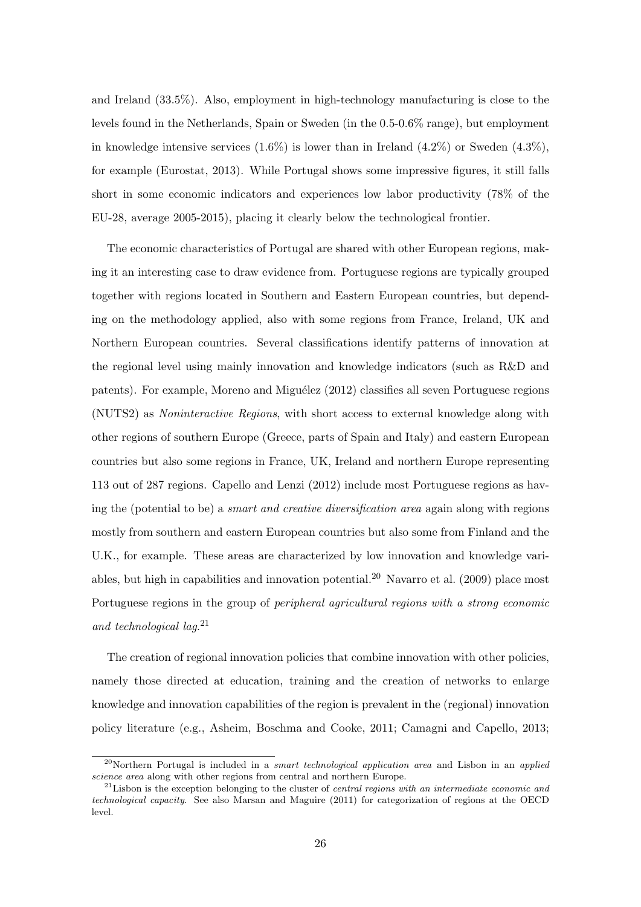and Ireland (33.5%). Also, employment in high-technology manufacturing is close to the levels found in the Netherlands, Spain or Sweden (in the 0.5-0.6% range), but employment in knowledge intensive services  $(1.6\%)$  is lower than in Ireland  $(4.2\%)$  or Sweden  $(4.3\%)$ , for example [\(Eurostat,](#page-37-10) [2013\)](#page-37-10). While Portugal shows some impressive figures, it still falls short in some economic indicators and experiences low labor productivity (78% of the EU-28, average 2005-2015), placing it clearly below the technological frontier.

The economic characteristics of Portugal are shared with other European regions, making it an interesting case to draw evidence from. Portuguese regions are typically grouped together with regions located in Southern and Eastern European countries, but depending on the methodology applied, also with some regions from France, Ireland, UK and Northern European countries. Several classifications identify patterns of innovation at the regional level using mainly innovation and knowledge indicators (such as R&D and patents). For example, Moreno and Miguélez [\(2012\)](#page-40-9) classifies all seven Portuguese regions (NUTS2) as Noninteractive Regions, with short access to external knowledge along with other regions of southern Europe (Greece, parts of Spain and Italy) and eastern European countries but also some regions in France, UK, Ireland and northern Europe representing 113 out of 287 regions. [Capello and Lenzi](#page-36-7) [\(2012\)](#page-36-7) include most Portuguese regions as having the (potential to be) a smart and creative diversification area again along with regions mostly from southern and eastern European countries but also some from Finland and the U.K., for example. These areas are characterized by low innovation and knowledge vari-ables, but high in capabilities and innovation potential.<sup>[20](#page-0-0)</sup> [Navarro et al.](#page-40-10)  $(2009)$  place most Portuguese regions in the group of peripheral agricultural regions with a strong economic and technological lag. [21](#page-0-0)

The creation of regional innovation policies that combine innovation with other policies, namely those directed at education, training and the creation of networks to enlarge knowledge and innovation capabilities of the region is prevalent in the (regional) innovation policy literature (e.g., [Asheim, Boschma and Cooke,](#page-33-8) [2011;](#page-33-8) [Camagni and Capello,](#page-36-8) [2013;](#page-36-8)

 $20$ Northern Portugal is included in a *smart technological application area* and Lisbon in an *applied* science area along with other regions from central and northern Europe.

 $^{21}$ Lisbon is the exception belonging to the cluster of *central regions with an intermediate economic and* technological capacity. See also Marsan and Maguire (2011) for categorization of regions at the OECD level.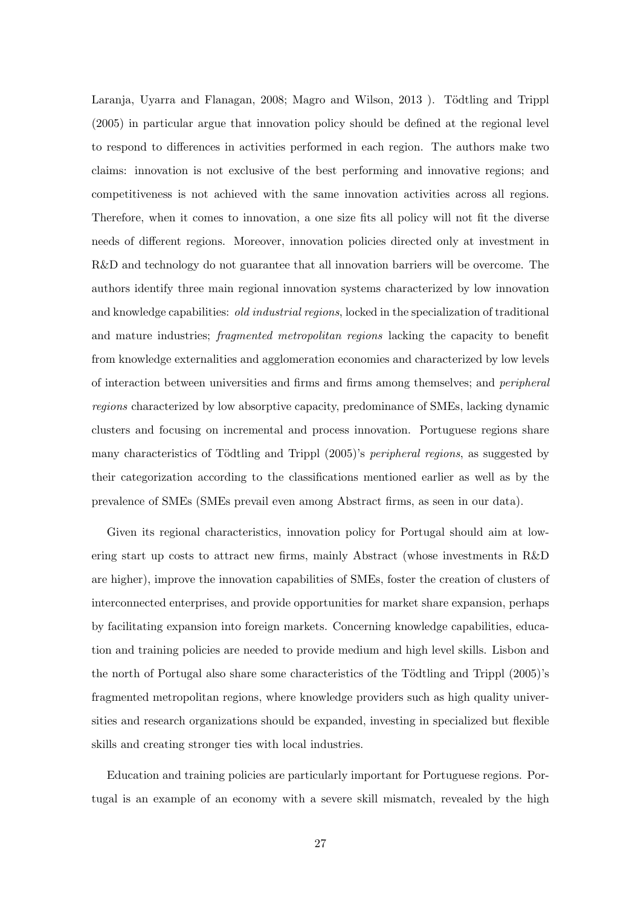[Laranja, Uyarra and Flanagan,](#page-39-9) [2008;](#page-39-9) [Magro and Wilson,](#page-39-10) [2013](#page-39-10)). Tödtling and Trippl [\(2005\)](#page-41-8) in particular argue that innovation policy should be defined at the regional level to respond to differences in activities performed in each region. The authors make two claims: innovation is not exclusive of the best performing and innovative regions; and competitiveness is not achieved with the same innovation activities across all regions. Therefore, when it comes to innovation, a one size fits all policy will not fit the diverse needs of different regions. Moreover, innovation policies directed only at investment in R&D and technology do not guarantee that all innovation barriers will be overcome. The authors identify three main regional innovation systems characterized by low innovation and knowledge capabilities: old industrial regions, locked in the specialization of traditional and mature industries; *fragmented metropolitan regions* lacking the capacity to benefit from knowledge externalities and agglomeration economies and characterized by low levels of interaction between universities and firms and firms among themselves; and peripheral regions characterized by low absorptive capacity, predominance of SMEs, lacking dynamic clusters and focusing on incremental and process innovation. Portuguese regions share many characteristics of Tödtling and Trippl [\(2005\)](#page-41-8)'s *peripheral regions*, as suggested by their categorization according to the classifications mentioned earlier as well as by the prevalence of SMEs (SMEs prevail even among Abstract firms, as seen in our data).

Given its regional characteristics, innovation policy for Portugal should aim at lowering start up costs to attract new firms, mainly Abstract (whose investments in R&D are higher), improve the innovation capabilities of SMEs, foster the creation of clusters of interconnected enterprises, and provide opportunities for market share expansion, perhaps by facilitating expansion into foreign markets. Concerning knowledge capabilities, education and training policies are needed to provide medium and high level skills. Lisbon and the north of Portugal also share some characteristics of the Tödtling and Trippl  $(2005)$ 's fragmented metropolitan regions, where knowledge providers such as high quality universities and research organizations should be expanded, investing in specialized but flexible skills and creating stronger ties with local industries.

Education and training policies are particularly important for Portuguese regions. Portugal is an example of an economy with a severe skill mismatch, revealed by the high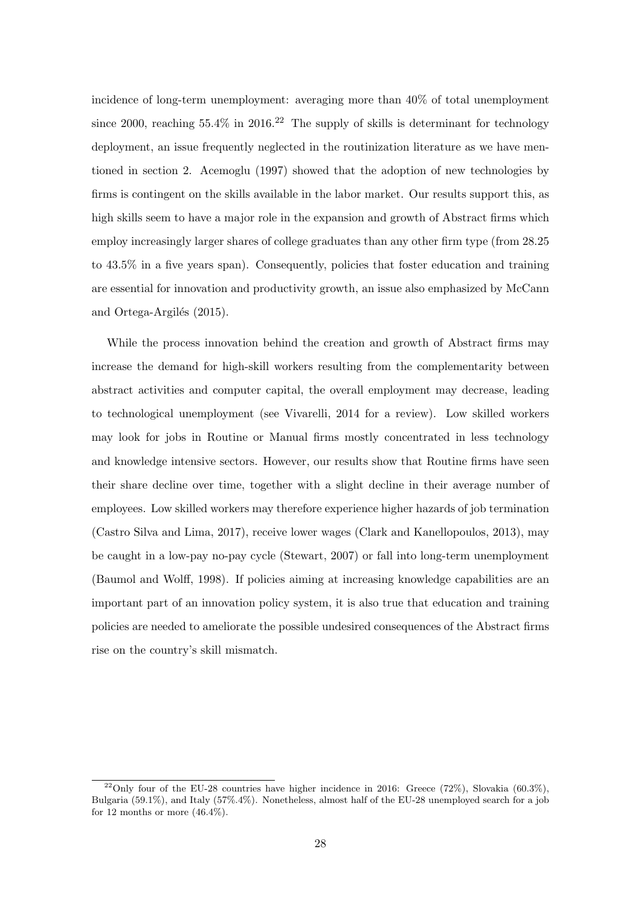incidence of long-term unemployment: averaging more than 40% of total unemployment since 2000, reaching  $55.4\%$  in 2016.<sup>[22](#page-0-0)</sup> The supply of skills is determinant for technology deployment, an issue frequently neglected in the routinization literature as we have mentioned in section [2.](#page-3-0) [Acemoglu](#page-33-9) [\(1997\)](#page-33-9) showed that the adoption of new technologies by firms is contingent on the skills available in the labor market. Our results support this, as high skills seem to have a major role in the expansion and growth of Abstract firms which employ increasingly larger shares of college graduates than any other firm type (from 28.25 to 43.5% in a five years span). Consequently, policies that foster education and training are essential for innovation and productivity growth, an issue also emphasized by [McCann](#page-40-11) and Ortega-Argilés [\(2015\)](#page-40-11).

While the process innovation behind the creation and growth of Abstract firms may increase the demand for high-skill workers resulting from the complementarity between abstract activities and computer capital, the overall employment may decrease, leading to technological unemployment (see [Vivarelli,](#page-41-9) [2014](#page-41-9) for a review). Low skilled workers may look for jobs in Routine or Manual firms mostly concentrated in less technology and knowledge intensive sectors. However, our results show that Routine firms have seen their share decline over time, together with a slight decline in their average number of employees. Low skilled workers may therefore experience higher hazards of job termination [\(Castro Silva and Lima,](#page-36-9) [2017\)](#page-36-9), receive lower wages [\(Clark and Kanellopoulos,](#page-36-10) [2013\)](#page-36-10), may be caught in a low-pay no-pay cycle [\(Stewart,](#page-41-10) [2007\)](#page-41-10) or fall into long-term unemployment [\(Baumol and Wolff,](#page-34-9) [1998\)](#page-34-9). If policies aiming at increasing knowledge capabilities are an important part of an innovation policy system, it is also true that education and training policies are needed to ameliorate the possible undesired consequences of the Abstract firms rise on the country's skill mismatch.

<sup>&</sup>lt;sup>22</sup>Only four of the EU-28 countries have higher incidence in 2016: Greece (72%), Slovakia (60.3%), Bulgaria (59.1%), and Italy (57%.4%). Nonetheless, almost half of the EU-28 unemployed search for a job for 12 months or more  $(46.4\%).$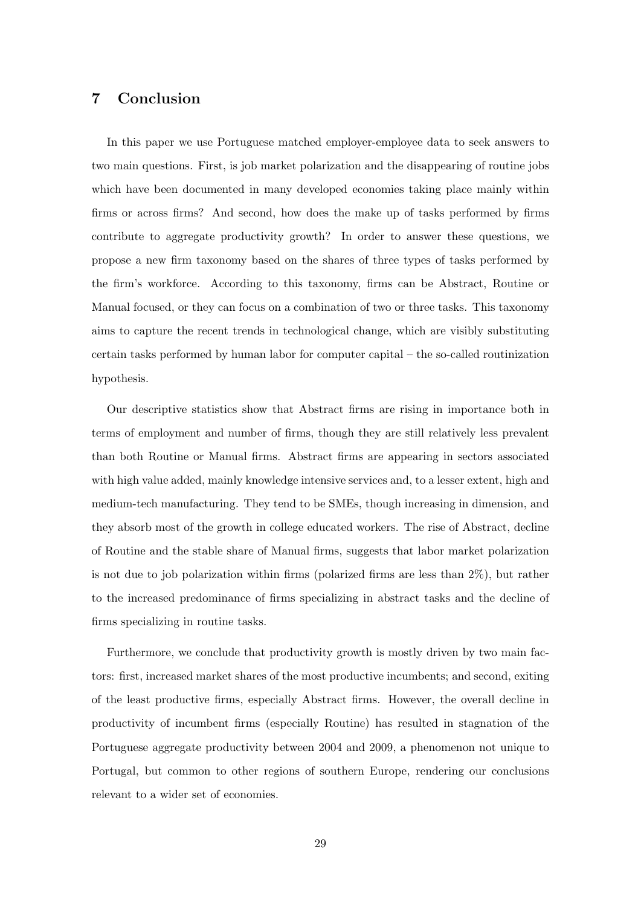#### <span id="page-29-0"></span>7 Conclusion

In this paper we use Portuguese matched employer-employee data to seek answers to two main questions. First, is job market polarization and the disappearing of routine jobs which have been documented in many developed economies taking place mainly within firms or across firms? And second, how does the make up of tasks performed by firms contribute to aggregate productivity growth? In order to answer these questions, we propose a new firm taxonomy based on the shares of three types of tasks performed by the firm's workforce. According to this taxonomy, firms can be Abstract, Routine or Manual focused, or they can focus on a combination of two or three tasks. This taxonomy aims to capture the recent trends in technological change, which are visibly substituting certain tasks performed by human labor for computer capital – the so-called routinization hypothesis.

Our descriptive statistics show that Abstract firms are rising in importance both in terms of employment and number of firms, though they are still relatively less prevalent than both Routine or Manual firms. Abstract firms are appearing in sectors associated with high value added, mainly knowledge intensive services and, to a lesser extent, high and medium-tech manufacturing. They tend to be SMEs, though increasing in dimension, and they absorb most of the growth in college educated workers. The rise of Abstract, decline of Routine and the stable share of Manual firms, suggests that labor market polarization is not due to job polarization within firms (polarized firms are less than 2%), but rather to the increased predominance of firms specializing in abstract tasks and the decline of firms specializing in routine tasks.

Furthermore, we conclude that productivity growth is mostly driven by two main factors: first, increased market shares of the most productive incumbents; and second, exiting of the least productive firms, especially Abstract firms. However, the overall decline in productivity of incumbent firms (especially Routine) has resulted in stagnation of the Portuguese aggregate productivity between 2004 and 2009, a phenomenon not unique to Portugal, but common to other regions of southern Europe, rendering our conclusions relevant to a wider set of economies.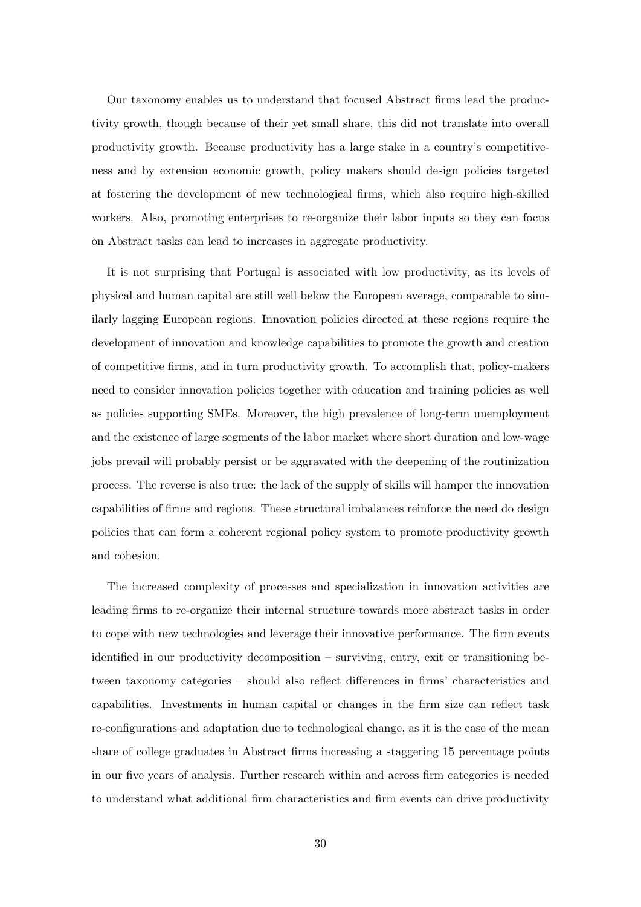Our taxonomy enables us to understand that focused Abstract firms lead the productivity growth, though because of their yet small share, this did not translate into overall productivity growth. Because productivity has a large stake in a country's competitiveness and by extension economic growth, policy makers should design policies targeted at fostering the development of new technological firms, which also require high-skilled workers. Also, promoting enterprises to re-organize their labor inputs so they can focus on Abstract tasks can lead to increases in aggregate productivity.

It is not surprising that Portugal is associated with low productivity, as its levels of physical and human capital are still well below the European average, comparable to similarly lagging European regions. Innovation policies directed at these regions require the development of innovation and knowledge capabilities to promote the growth and creation of competitive firms, and in turn productivity growth. To accomplish that, policy-makers need to consider innovation policies together with education and training policies as well as policies supporting SMEs. Moreover, the high prevalence of long-term unemployment and the existence of large segments of the labor market where short duration and low-wage jobs prevail will probably persist or be aggravated with the deepening of the routinization process. The reverse is also true: the lack of the supply of skills will hamper the innovation capabilities of firms and regions. These structural imbalances reinforce the need do design policies that can form a coherent regional policy system to promote productivity growth and cohesion.

The increased complexity of processes and specialization in innovation activities are leading firms to re-organize their internal structure towards more abstract tasks in order to cope with new technologies and leverage their innovative performance. The firm events identified in our productivity decomposition – surviving, entry, exit or transitioning between taxonomy categories – should also reflect differences in firms' characteristics and capabilities. Investments in human capital or changes in the firm size can reflect task re-configurations and adaptation due to technological change, as it is the case of the mean share of college graduates in Abstract firms increasing a staggering 15 percentage points in our five years of analysis. Further research within and across firm categories is needed to understand what additional firm characteristics and firm events can drive productivity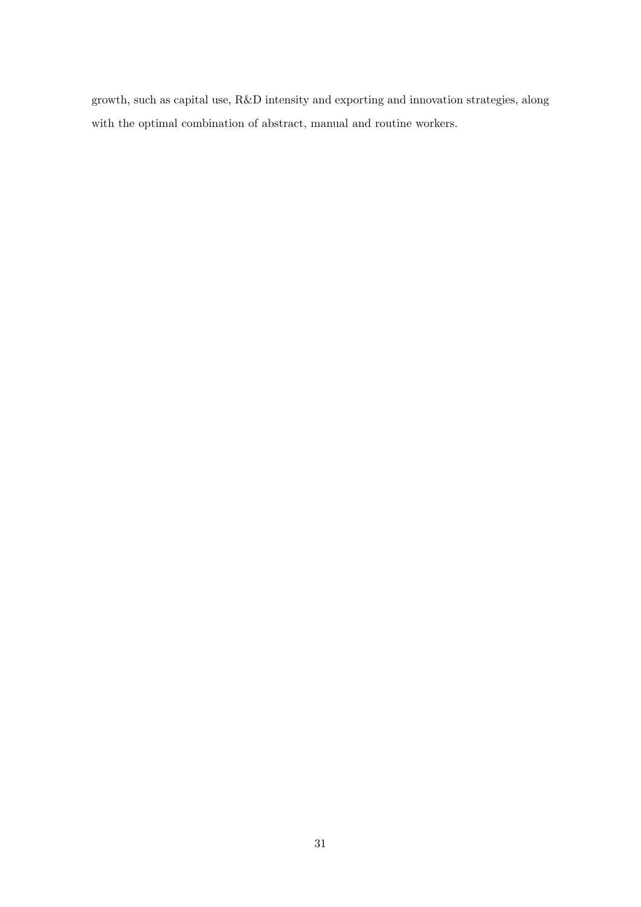growth, such as capital use, R&D intensity and exporting and innovation strategies, along with the optimal combination of abstract, manual and routine workers.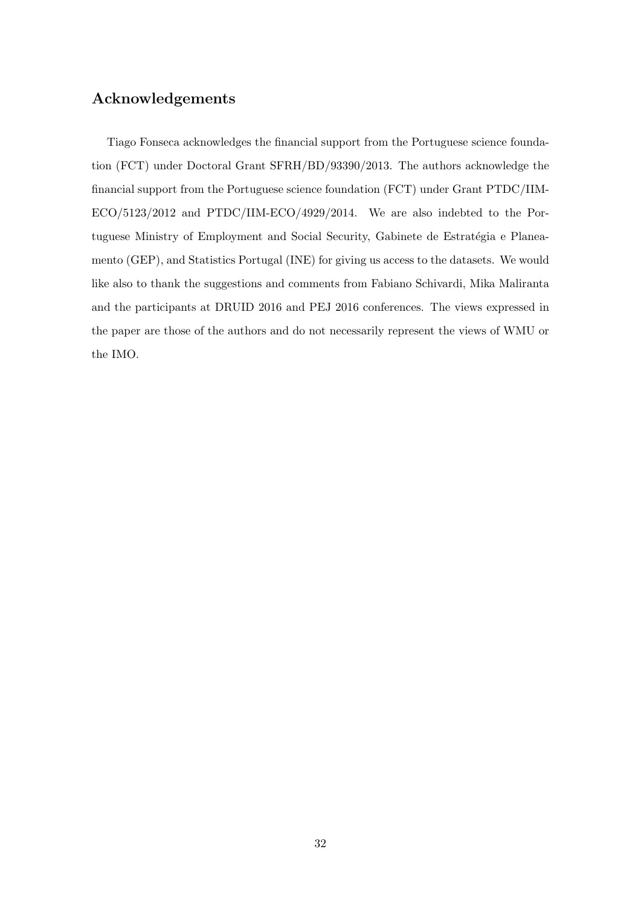#### Acknowledgements

Tiago Fonseca acknowledges the financial support from the Portuguese science foundation (FCT) under Doctoral Grant SFRH/BD/93390/2013. The authors acknowledge the financial support from the Portuguese science foundation (FCT) under Grant PTDC/IIM-ECO/5123/2012 and PTDC/IIM-ECO/4929/2014. We are also indebted to the Portuguese Ministry of Employment and Social Security, Gabinete de Estratégia e Planeamento (GEP), and Statistics Portugal (INE) for giving us access to the datasets. We would like also to thank the suggestions and comments from Fabiano Schivardi, Mika Maliranta and the participants at DRUID 2016 and PEJ 2016 conferences. The views expressed in the paper are those of the authors and do not necessarily represent the views of WMU or the IMO.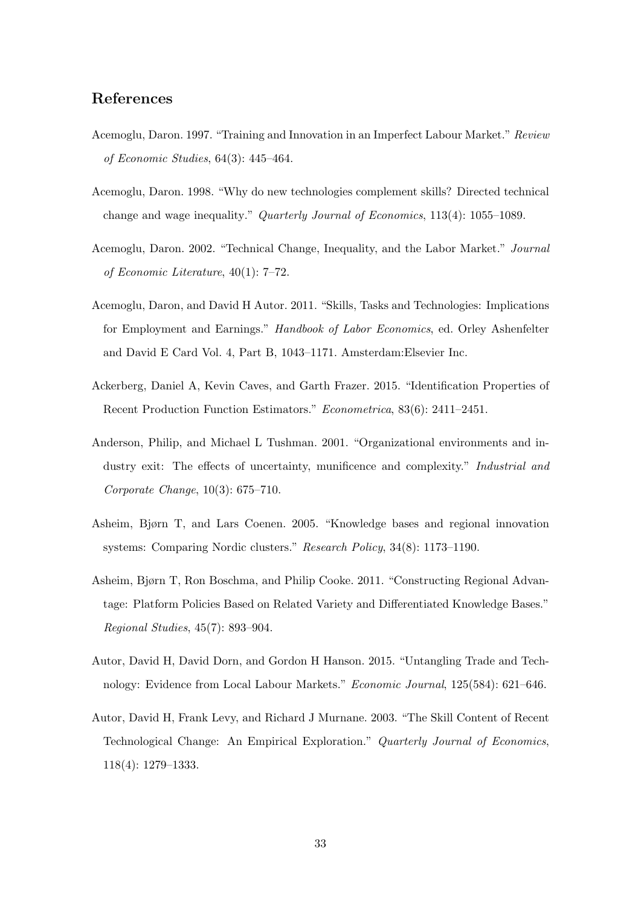#### References

- <span id="page-33-9"></span>Acemoglu, Daron. 1997. "Training and Innovation in an Imperfect Labour Market." Review of Economic Studies, 64(3): 445–464.
- <span id="page-33-4"></span>Acemoglu, Daron. 1998. "Why do new technologies complement skills? Directed technical change and wage inequality." Quarterly Journal of Economics, 113(4): 1055–1089.
- <span id="page-33-5"></span>Acemoglu, Daron. 2002. "Technical Change, Inequality, and the Labor Market." Journal of Economic Literature, 40(1): 7–72.
- <span id="page-33-0"></span>Acemoglu, Daron, and David H Autor. 2011. "Skills, Tasks and Technologies: Implications for Employment and Earnings." Handbook of Labor Economics, ed. Orley Ashenfelter and David E Card Vol. 4, Part B, 1043–1171. Amsterdam:Elsevier Inc.
- <span id="page-33-3"></span>Ackerberg, Daniel A, Kevin Caves, and Garth Frazer. 2015. "Identification Properties of Recent Production Function Estimators." Econometrica, 83(6): 2411–2451.
- <span id="page-33-7"></span>Anderson, Philip, and Michael L Tushman. 2001. "Organizational environments and industry exit: The effects of uncertainty, munificence and complexity." Industrial and Corporate Change, 10(3): 675–710.
- <span id="page-33-6"></span>Asheim, Bjørn T, and Lars Coenen. 2005. "Knowledge bases and regional innovation systems: Comparing Nordic clusters." Research Policy, 34(8): 1173–1190.
- <span id="page-33-8"></span>Asheim, Bjørn T, Ron Boschma, and Philip Cooke. 2011. "Constructing Regional Advantage: Platform Policies Based on Related Variety and Differentiated Knowledge Bases." Regional Studies, 45(7): 893–904.
- <span id="page-33-2"></span>Autor, David H, David Dorn, and Gordon H Hanson. 2015. "Untangling Trade and Technology: Evidence from Local Labour Markets." Economic Journal, 125(584): 621–646.
- <span id="page-33-1"></span>Autor, David H, Frank Levy, and Richard J Murnane. 2003. "The Skill Content of Recent Technological Change: An Empirical Exploration." Quarterly Journal of Economics, 118(4): 1279–1333.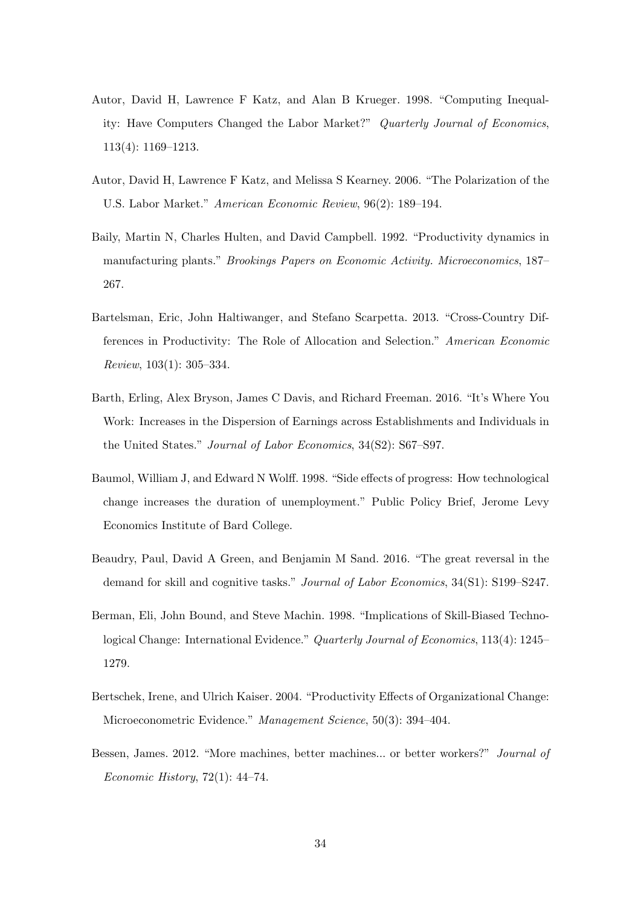- <span id="page-34-2"></span>Autor, David H, Lawrence F Katz, and Alan B Krueger. 1998. "Computing Inequality: Have Computers Changed the Labor Market?" Quarterly Journal of Economics, 113(4): 1169–1213.
- <span id="page-34-4"></span>Autor, David H, Lawrence F Katz, and Melissa S Kearney. 2006. "The Polarization of the U.S. Labor Market." American Economic Review, 96(2): 189–194.
- <span id="page-34-7"></span>Baily, Martin N, Charles Hulten, and David Campbell. 1992. "Productivity dynamics in manufacturing plants." Brookings Papers on Economic Activity. Microeconomics, 187– 267.
- <span id="page-34-6"></span>Bartelsman, Eric, John Haltiwanger, and Stefano Scarpetta. 2013. "Cross-Country Differences in Productivity: The Role of Allocation and Selection." American Economic Review, 103(1): 305–334.
- <span id="page-34-8"></span>Barth, Erling, Alex Bryson, James C Davis, and Richard Freeman. 2016. "It's Where You Work: Increases in the Dispersion of Earnings across Establishments and Individuals in the United States." Journal of Labor Economics, 34(S2): S67–S97.
- <span id="page-34-9"></span>Baumol, William J, and Edward N Wolff. 1998. "Side effects of progress: How technological change increases the duration of unemployment." Public Policy Brief, Jerome Levy Economics Institute of Bard College.
- <span id="page-34-1"></span>Beaudry, Paul, David A Green, and Benjamin M Sand. 2016. "The great reversal in the demand for skill and cognitive tasks." Journal of Labor Economics, 34(S1): S199–S247.
- <span id="page-34-3"></span>Berman, Eli, John Bound, and Steve Machin. 1998. "Implications of Skill-Biased Technological Change: International Evidence." Quarterly Journal of Economics, 113(4): 1245– 1279.
- <span id="page-34-5"></span>Bertschek, Irene, and Ulrich Kaiser. 2004. "Productivity Effects of Organizational Change: Microeconometric Evidence." Management Science, 50(3): 394–404.
- <span id="page-34-0"></span>Bessen, James. 2012. "More machines, better machines... or better workers?" Journal of Economic History, 72(1): 44–74.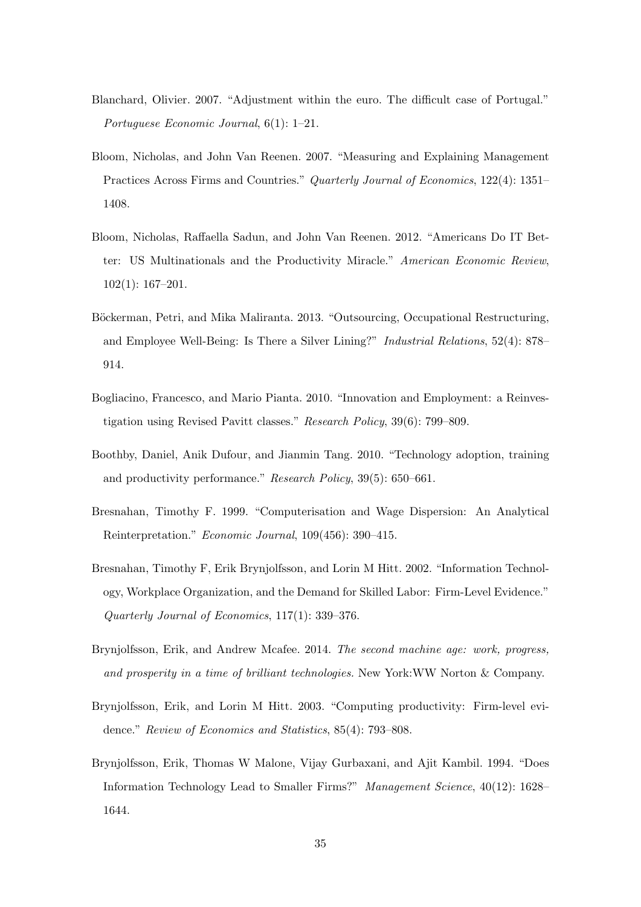- <span id="page-35-3"></span>Blanchard, Olivier. 2007. "Adjustment within the euro. The difficult case of Portugal." Portuguese Economic Journal, 6(1): 1–21.
- <span id="page-35-4"></span>Bloom, Nicholas, and John Van Reenen. 2007. "Measuring and Explaining Management Practices Across Firms and Countries." Quarterly Journal of Economics, 122(4): 1351– 1408.
- <span id="page-35-5"></span>Bloom, Nicholas, Raffaella Sadun, and John Van Reenen. 2012. "Americans Do IT Better: US Multinationals and the Productivity Miracle." American Economic Review, 102(1): 167–201.
- <span id="page-35-1"></span>Böckerman, Petri, and Mika Maliranta. 2013. "Outsourcing, Occupational Restructuring, and Employee Well-Being: Is There a Silver Lining?" Industrial Relations, 52(4): 878– 914.
- <span id="page-35-10"></span>Bogliacino, Francesco, and Mario Pianta. 2010. "Innovation and Employment: a Reinvestigation using Revised Pavitt classes." Research Policy, 39(6): 799–809.
- <span id="page-35-9"></span>Boothby, Daniel, Anik Dufour, and Jianmin Tang. 2010. "Technology adoption, training and productivity performance." Research Policy, 39(5): 650–661.
- <span id="page-35-2"></span>Bresnahan, Timothy F. 1999. "Computerisation and Wage Dispersion: An Analytical Reinterpretation." Economic Journal, 109(456): 390–415.
- <span id="page-35-6"></span>Bresnahan, Timothy F, Erik Brynjolfsson, and Lorin M Hitt. 2002. "Information Technology, Workplace Organization, and the Demand for Skilled Labor: Firm-Level Evidence." Quarterly Journal of Economics, 117(1): 339–376.
- <span id="page-35-0"></span>Brynjolfsson, Erik, and Andrew Mcafee. 2014. The second machine age: work, progress, and prosperity in a time of brilliant technologies. New York:WW Norton & Company.
- <span id="page-35-7"></span>Brynjolfsson, Erik, and Lorin M Hitt. 2003. "Computing productivity: Firm-level evidence." Review of Economics and Statistics, 85(4): 793–808.
- <span id="page-35-8"></span>Brynjolfsson, Erik, Thomas W Malone, Vijay Gurbaxani, and Ajit Kambil. 1994. "Does Information Technology Lead to Smaller Firms?" Management Science, 40(12): 1628– 1644.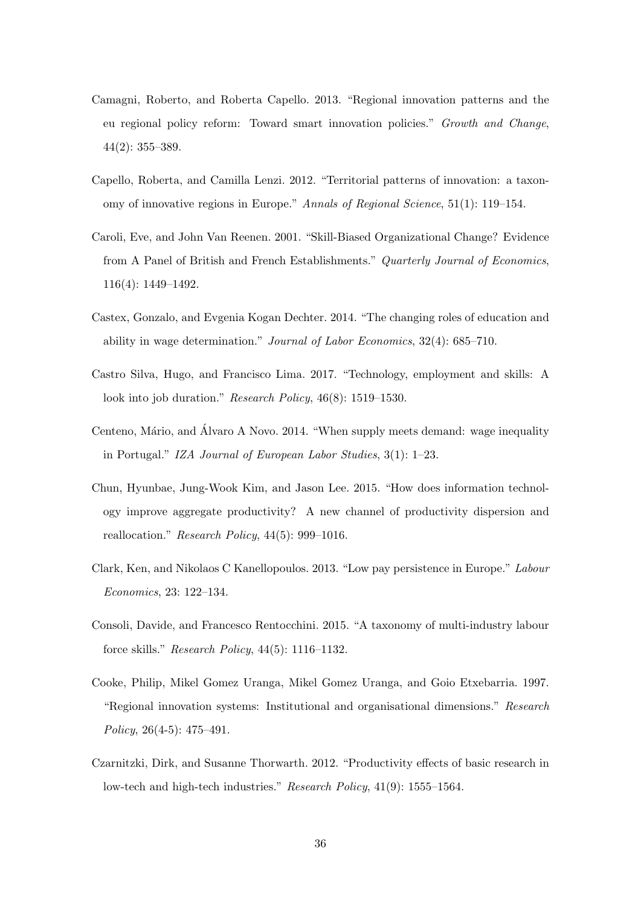- <span id="page-36-8"></span>Camagni, Roberto, and Roberta Capello. 2013. "Regional innovation patterns and the eu regional policy reform: Toward smart innovation policies." Growth and Change,  $44(2): 355 - 389.$
- <span id="page-36-7"></span>Capello, Roberta, and Camilla Lenzi. 2012. "Territorial patterns of innovation: a taxonomy of innovative regions in Europe." Annals of Regional Science, 51(1): 119–154.
- <span id="page-36-1"></span>Caroli, Eve, and John Van Reenen. 2001. "Skill-Biased Organizational Change? Evidence from A Panel of British and French Establishments." Quarterly Journal of Economics, 116(4): 1449–1492.
- <span id="page-36-0"></span>Castex, Gonzalo, and Evgenia Kogan Dechter. 2014. "The changing roles of education and ability in wage determination." Journal of Labor Economics, 32(4): 685–710.
- <span id="page-36-9"></span>Castro Silva, Hugo, and Francisco Lima. 2017. "Technology, employment and skills: A look into job duration." Research Policy, 46(8): 1519–1530.
- <span id="page-36-2"></span>Centeno, Mário, and Álvaro A Novo. 2014. "When supply meets demand: wage inequality in Portugal." IZA Journal of European Labor Studies, 3(1): 1–23.
- <span id="page-36-3"></span>Chun, Hyunbae, Jung-Wook Kim, and Jason Lee. 2015. "How does information technology improve aggregate productivity? A new channel of productivity dispersion and reallocation." Research Policy, 44(5): 999–1016.
- <span id="page-36-10"></span>Clark, Ken, and Nikolaos C Kanellopoulos. 2013. "Low pay persistence in Europe." Labour Economics, 23: 122–134.
- <span id="page-36-6"></span>Consoli, Davide, and Francesco Rentocchini. 2015. "A taxonomy of multi-industry labour force skills." Research Policy, 44(5): 1116–1132.
- <span id="page-36-5"></span>Cooke, Philip, Mikel Gomez Uranga, Mikel Gomez Uranga, and Goio Etxebarria. 1997. "Regional innovation systems: Institutional and organisational dimensions." Research Policy, 26(4-5): 475–491.
- <span id="page-36-4"></span>Czarnitzki, Dirk, and Susanne Thorwarth. 2012. "Productivity effects of basic research in low-tech and high-tech industries." Research Policy, 41(9): 1555–1564.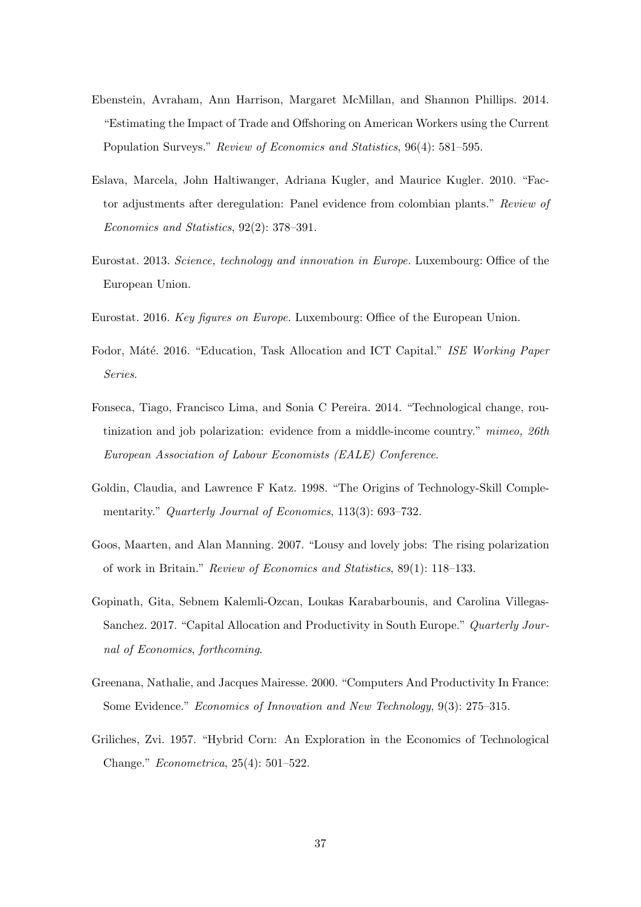- <span id="page-37-0"></span>Ebenstein, Avraham, Ann Harrison, Margaret McMillan, and Shannon Phillips. 2014. "Estimating the Impact of Trade and Offshoring on American Workers using the Current Population Surveys." Review of Economics and Statistics, 96(4): 581–595.
- <span id="page-37-8"></span>Eslava, Marcela, John Haltiwanger, Adriana Kugler, and Maurice Kugler. 2010. "Factor adjustments after deregulation: Panel evidence from colombian plants." Review of Economics and Statistics, 92(2): 378–391.
- <span id="page-37-10"></span>Eurostat. 2013. Science, technology and innovation in Europe. Luxembourg: Office of the European Union.
- <span id="page-37-9"></span>Eurostat. 2016. Key figures on Europe. Luxembourg: Office of the European Union.
- <span id="page-37-1"></span>Fodor, Máté. 2016. "Education, Task Allocation and ICT Capital." ISE Working Paper Series.
- <span id="page-37-6"></span>Fonseca, Tiago, Francisco Lima, and Sonia C Pereira. 2014. "Technological change, routinization and job polarization: evidence from a middle-income country." mimeo, 26th European Association of Labour Economists (EALE) Conference.
- <span id="page-37-2"></span>Goldin, Claudia, and Lawrence F Katz. 1998. "The Origins of Technology-Skill Complementarity." *Quarterly Journal of Economics*, 113(3): 693–732.
- <span id="page-37-5"></span>Goos, Maarten, and Alan Manning. 2007. "Lousy and lovely jobs: The rising polarization of work in Britain." Review of Economics and Statistics, 89(1): 118–133.
- <span id="page-37-4"></span>Gopinath, Gita, Sebnem Kalemli-Ozcan, Loukas Karabarbounis, and Carolina Villegas-Sanchez. 2017. "Capital Allocation and Productivity in South Europe." Quarterly Journal of Economics, forthcoming.
- <span id="page-37-7"></span>Greenana, Nathalie, and Jacques Mairesse. 2000. "Computers And Productivity In France: Some Evidence." Economics of Innovation and New Technology, 9(3): 275–315.
- <span id="page-37-3"></span>Griliches, Zvi. 1957. "Hybrid Corn: An Exploration in the Economics of Technological Change." Econometrica, 25(4): 501–522.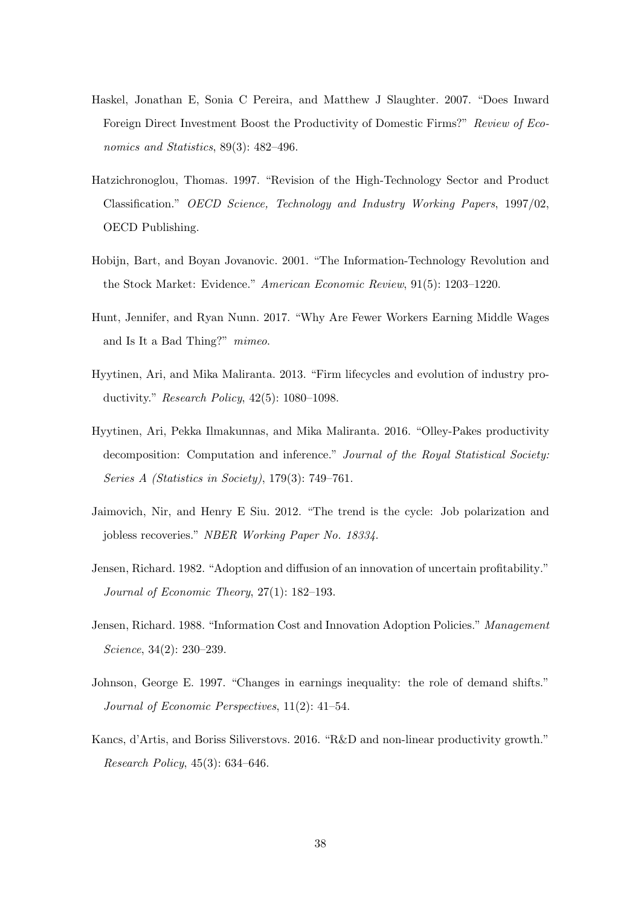- <span id="page-38-3"></span>Haskel, Jonathan E, Sonia C Pereira, and Matthew J Slaughter. 2007. "Does Inward Foreign Direct Investment Boost the Productivity of Domestic Firms?" Review of Economics and Statistics, 89(3): 482-496.
- <span id="page-38-10"></span>Hatzichronoglou, Thomas. 1997. "Revision of the High-Technology Sector and Product Classification." OECD Science, Technology and Industry Working Papers, 1997/02, OECD Publishing.
- <span id="page-38-5"></span>Hobijn, Bart, and Boyan Jovanovic. 2001. "The Information-Technology Revolution and the Stock Market: Evidence." American Economic Review, 91(5): 1203–1220.
- <span id="page-38-1"></span>Hunt, Jennifer, and Ryan Nunn. 2017. "Why Are Fewer Workers Earning Middle Wages and Is It a Bad Thing?" mimeo.
- <span id="page-38-7"></span>Hyytinen, Ari, and Mika Maliranta. 2013. "Firm lifecycles and evolution of industry productivity." Research Policy, 42(5): 1080–1098.
- <span id="page-38-6"></span>Hyytinen, Ari, Pekka Ilmakunnas, and Mika Maliranta. 2016. "Olley-Pakes productivity decomposition: Computation and inference." Journal of the Royal Statistical Society: Series A (Statistics in Society), 179(3): 749–761.
- <span id="page-38-0"></span>Jaimovich, Nir, and Henry E Siu. 2012. "The trend is the cycle: Job polarization and jobless recoveries." NBER Working Paper No. 18334.
- <span id="page-38-8"></span>Jensen, Richard. 1982. "Adoption and diffusion of an innovation of uncertain profitability." Journal of Economic Theory, 27(1): 182–193.
- <span id="page-38-9"></span>Jensen, Richard. 1988. "Information Cost and Innovation Adoption Policies." Management Science, 34(2): 230–239.
- <span id="page-38-2"></span>Johnson, George E. 1997. "Changes in earnings inequality: the role of demand shifts." Journal of Economic Perspectives, 11(2): 41–54.
- <span id="page-38-4"></span>Kancs, d'Artis, and Boriss Siliverstovs. 2016. "R&D and non-linear productivity growth." Research Policy, 45(3): 634–646.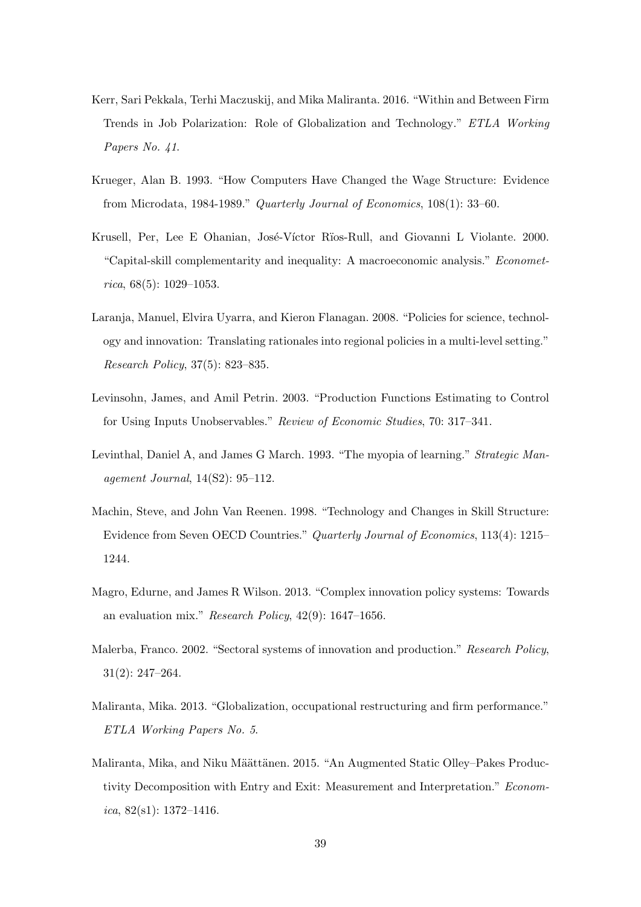- <span id="page-39-0"></span>Kerr, Sari Pekkala, Terhi Maczuskij, and Mika Maliranta. 2016. "Within and Between Firm Trends in Job Polarization: Role of Globalization and Technology." ETLA Working Papers No. 41.
- <span id="page-39-2"></span>Krueger, Alan B. 1993. "How Computers Have Changed the Wage Structure: Evidence from Microdata, 1984-1989." Quarterly Journal of Economics, 108(1): 33–60.
- <span id="page-39-3"></span>Krusell, Per, Lee E Ohanian, José-Víctor Rïos-Rull, and Giovanni L Violante. 2000. "Capital-skill complementarity and inequality: A macroeconomic analysis." Econometrica,  $68(5)$ : 1029–1053.
- <span id="page-39-9"></span>Laranja, Manuel, Elvira Uyarra, and Kieron Flanagan. 2008. "Policies for science, technology and innovation: Translating rationales into regional policies in a multi-level setting." Research Policy, 37(5): 823–835.
- <span id="page-39-8"></span>Levinsohn, James, and Amil Petrin. 2003. "Production Functions Estimating to Control for Using Inputs Unobservables." Review of Economic Studies, 70: 317–341.
- <span id="page-39-7"></span>Levinthal, Daniel A, and James G March. 1993. "The myopia of learning." Strategic Management Journal, 14(S2): 95–112.
- <span id="page-39-4"></span>Machin, Steve, and John Van Reenen. 1998. "Technology and Changes in Skill Structure: Evidence from Seven OECD Countries." Quarterly Journal of Economics, 113(4): 1215– 1244.
- <span id="page-39-10"></span>Magro, Edurne, and James R Wilson. 2013. "Complex innovation policy systems: Towards an evaluation mix." Research Policy, 42(9): 1647–1656.
- <span id="page-39-6"></span>Malerba, Franco. 2002. "Sectoral systems of innovation and production." Research Policy, 31(2): 247–264.
- <span id="page-39-1"></span>Maliranta, Mika. 2013. "Globalization, occupational restructuring and firm performance." ETLA Working Papers No. 5.
- <span id="page-39-5"></span>Maliranta, Mika, and Niku Määttänen. 2015. "An Augmented Static Olley–Pakes Productivity Decomposition with Entry and Exit: Measurement and Interpretation." Economica, 82 $(s1)$ : 1372-1416.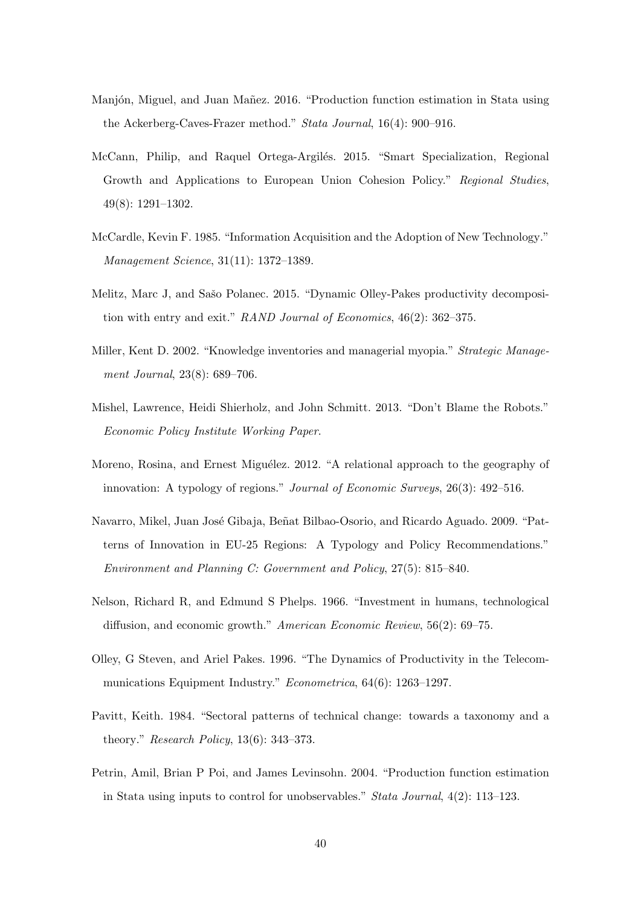- <span id="page-40-7"></span>Manjón, Miguel, and Juan Mañez. 2016. "Production function estimation in Stata using the Ackerberg-Caves-Frazer method." Stata Journal, 16(4): 900–916.
- <span id="page-40-11"></span>McCann, Philip, and Raquel Ortega-Argilés. 2015. "Smart Specialization, Regional Growth and Applications to European Union Cohesion Policy." Regional Studies, 49(8): 1291–1302.
- <span id="page-40-6"></span>McCardle, Kevin F. 1985. "Information Acquisition and the Adoption of New Technology." Management Science, 31(11): 1372–1389.
- <span id="page-40-1"></span>Melitz, Marc J, and Sašo Polanec. 2015. "Dynamic Olley-Pakes productivity decomposition with entry and exit." RAND Journal of Economics, 46(2): 362–375.
- <span id="page-40-5"></span>Miller, Kent D. 2002. "Knowledge inventories and managerial myopia." Strategic Management Journal, 23(8): 689–706.
- <span id="page-40-2"></span>Mishel, Lawrence, Heidi Shierholz, and John Schmitt. 2013. "Don't Blame the Robots." Economic Policy Institute Working Paper.
- <span id="page-40-9"></span>Moreno, Rosina, and Ernest Miguélez. 2012. "A relational approach to the geography of innovation: A typology of regions." Journal of Economic Surveys, 26(3): 492–516.
- <span id="page-40-10"></span>Navarro, Mikel, Juan José Gibaja, Beñat Bilbao-Osorio, and Ricardo Aguado. 2009. "Patterns of Innovation in EU-25 Regions: A Typology and Policy Recommendations." Environment and Planning C: Government and Policy, 27(5): 815–840.
- <span id="page-40-3"></span>Nelson, Richard R, and Edmund S Phelps. 1966. "Investment in humans, technological diffusion, and economic growth." American Economic Review, 56(2): 69–75.
- <span id="page-40-0"></span>Olley, G Steven, and Ariel Pakes. 1996. "The Dynamics of Productivity in the Telecommunications Equipment Industry." Econometrica, 64(6): 1263–1297.
- <span id="page-40-4"></span>Pavitt, Keith. 1984. "Sectoral patterns of technical change: towards a taxonomy and a theory." Research Policy, 13(6): 343–373.
- <span id="page-40-8"></span>Petrin, Amil, Brian P Poi, and James Levinsohn. 2004. "Production function estimation in Stata using inputs to control for unobservables." Stata Journal, 4(2): 113–123.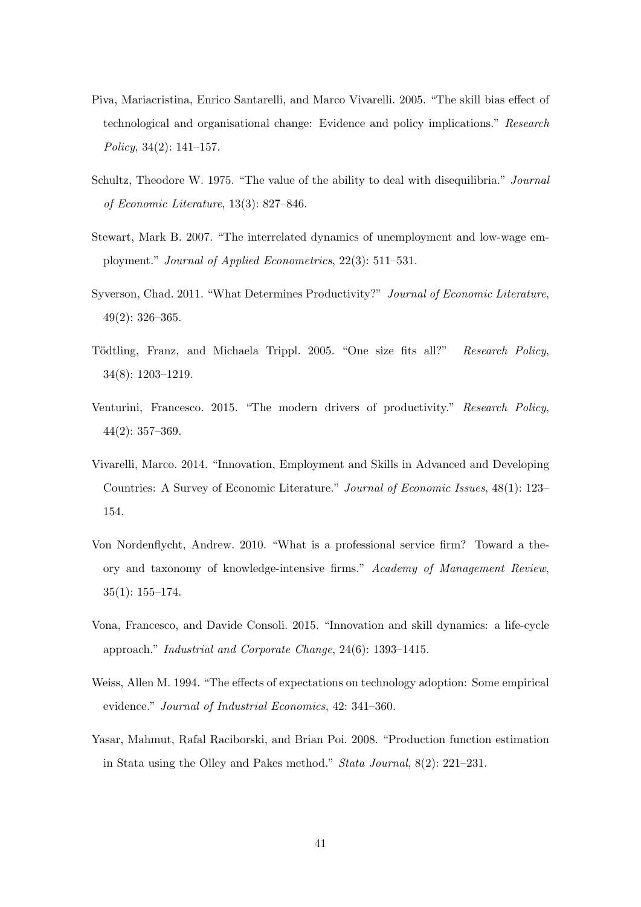- <span id="page-41-2"></span>Piva, Mariacristina, Enrico Santarelli, and Marco Vivarelli. 2005. "The skill bias effect of technological and organisational change: Evidence and policy implications." Research Policy, 34(2): 141–157.
- <span id="page-41-1"></span>Schultz, Theodore W. 1975. "The value of the ability to deal with disequilibria." Journal of Economic Literature, 13(3): 827–846.
- <span id="page-41-10"></span>Stewart, Mark B. 2007. "The interrelated dynamics of unemployment and low-wage employment." Journal of Applied Econometrics, 22(3): 511–531.
- <span id="page-41-3"></span>Syverson, Chad. 2011. "What Determines Productivity?" Journal of Economic Literature, 49(2): 326–365.
- <span id="page-41-8"></span>Tödtling, Franz, and Michaela Trippl. 2005. "One size fits all?" Research Policy, 34(8): 1203–1219.
- <span id="page-41-4"></span>Venturini, Francesco. 2015. "The modern drivers of productivity." Research Policy, 44(2): 357–369.
- <span id="page-41-9"></span>Vivarelli, Marco. 2014. "Innovation, Employment and Skills in Advanced and Developing Countries: A Survey of Economic Literature." Journal of Economic Issues, 48(1): 123– 154.
- <span id="page-41-5"></span>Von Nordenflycht, Andrew. 2010. "What is a professional service firm? Toward a theory and taxonomy of knowledge-intensive firms." Academy of Management Review,  $35(1): 155-174.$
- <span id="page-41-0"></span>Vona, Francesco, and Davide Consoli. 2015. "Innovation and skill dynamics: a life-cycle approach." Industrial and Corporate Change, 24(6): 1393–1415.
- <span id="page-41-6"></span>Weiss, Allen M. 1994. "The effects of expectations on technology adoption: Some empirical evidence." Journal of Industrial Economics, 42: 341–360.
- <span id="page-41-7"></span>Yasar, Mahmut, Rafal Raciborski, and Brian Poi. 2008. "Production function estimation in Stata using the Olley and Pakes method." Stata Journal, 8(2): 221–231.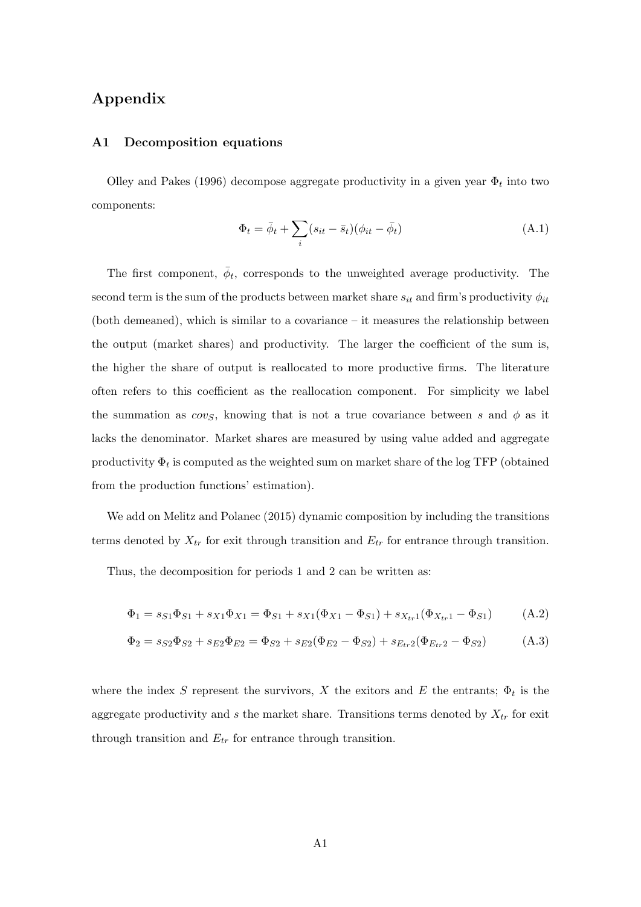#### Appendix

#### <span id="page-42-0"></span>A1 Decomposition equations

[Olley and Pakes](#page-40-0) [\(1996\)](#page-40-0) decompose aggregate productivity in a given year  $\Phi_t$  into two components:

$$
\Phi_t = \bar{\phi}_t + \sum_i (s_{it} - \bar{s}_t)(\phi_{it} - \bar{\phi}_t)
$$
\n(A.1)

The first component,  $\bar{\phi}_t$ , corresponds to the unweighted average productivity. The second term is the sum of the products between market share  $s_{it}$  and firm's productivity  $\phi_{it}$ (both demeaned), which is similar to a covariance – it measures the relationship between the output (market shares) and productivity. The larger the coefficient of the sum is, the higher the share of output is reallocated to more productive firms. The literature often refers to this coefficient as the reallocation component. For simplicity we label the summation as  $cov_S$ , knowing that is not a true covariance between s and  $\phi$  as it lacks the denominator. Market shares are measured by using value added and aggregate productivity  $\Phi_t$  is computed as the weighted sum on market share of the log TFP (obtained from the production functions' estimation).

We add on [Melitz and Polanec](#page-40-1) [\(2015\)](#page-40-1) dynamic composition by including the transitions terms denoted by  $X_{tr}$  for exit through transition and  $E_{tr}$  for entrance through transition.

Thus, the decomposition for periods 1 and 2 can be written as:

$$
\Phi_1 = s_{S1}\Phi_{S1} + s_{X1}\Phi_{X1} = \Phi_{S1} + s_{X1}(\Phi_{X1} - \Phi_{S1}) + s_{X_{tr}1}(\Phi_{X_{tr}1} - \Phi_{S1})
$$
\n(A.2)

$$
\Phi_2 = s_{S2}\Phi_{S2} + s_{E2}\Phi_{E2} = \Phi_{S2} + s_{E2}(\Phi_{E2} - \Phi_{S2}) + s_{E_{tr}2}(\Phi_{E_{tr}2} - \Phi_{S2})
$$
(A.3)

where the index S represent the survivors, X the exitors and E the entrants;  $\Phi_t$  is the aggregate productivity and  $s$  the market share. Transitions terms denoted by  $X_{tr}$  for exit through transition and  $E_{tr}$  for entrance through transition.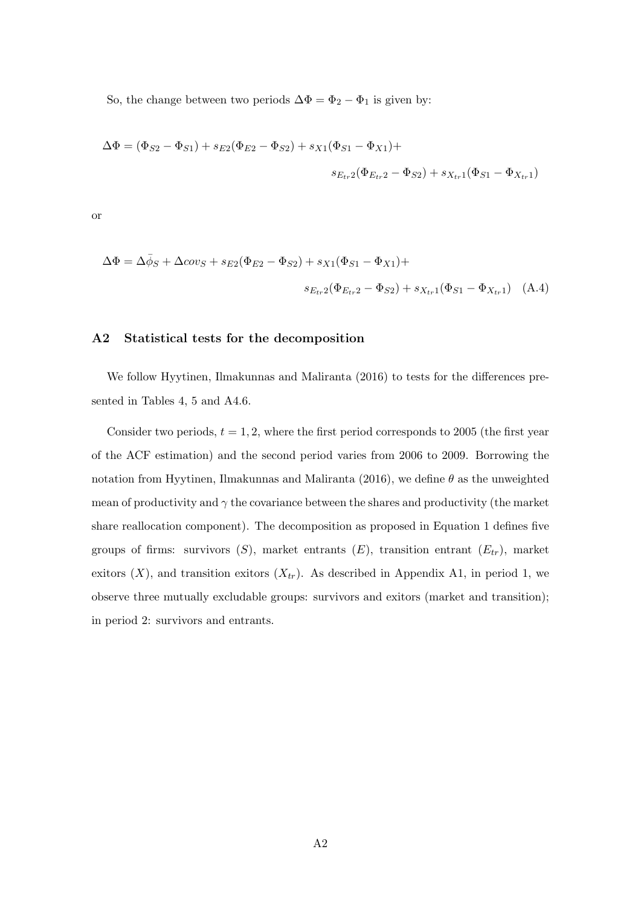So, the change between two periods  $\Delta \Phi = \Phi_2 - \Phi_1$  is given by:

$$
\Delta \Phi = (\Phi_{S2} - \Phi_{S1}) + s_{E2}(\Phi_{E2} - \Phi_{S2}) + s_{X1}(\Phi_{S1} - \Phi_{X1}) +
$$
  

$$
s_{E_{tr}2}(\Phi_{E_{tr}2} - \Phi_{S2}) + s_{X_{tr}1}(\Phi_{S1} - \Phi_{X_{tr}1})
$$

or

$$
\Delta \Phi = \Delta \bar{\phi}_S + \Delta \cos s + s_{E2} (\Phi_{E2} - \Phi_{S2}) + s_{X1} (\Phi_{S1} - \Phi_{X1}) +
$$
  

$$
s_{E_{tr2}} (\Phi_{E_{tr2}} - \Phi_{S2}) + s_{X_{tr1}} (\Phi_{S1} - \Phi_{X_{tr1}}) \quad (A.4)
$$

#### <span id="page-43-0"></span>A2 Statistical tests for the decomposition

We follow [Hyytinen, Ilmakunnas and Maliranta](#page-38-6) [\(2016\)](#page-38-6) to tests for the differences presented in Tables [4,](#page-21-0) [5](#page-23-1) and [A4.6.](#page-50-0)

Consider two periods,  $t = 1, 2$ , where the first period corresponds to 2005 (the first year of the ACF estimation) and the second period varies from 2006 to 2009. Borrowing the notation from [Hyytinen, Ilmakunnas and Maliranta](#page-38-6) [\(2016\)](#page-38-6), we define  $\theta$  as the unweighted mean of productivity and  $\gamma$  the covariance between the shares and productivity (the market share reallocation component). The decomposition as proposed in Equation [1](#page-19-1) defines five groups of firms: survivors  $(S)$ , market entrants  $(E)$ , transition entrant  $(E<sub>tr</sub>)$ , market exitors  $(X)$ , and transition exitors  $(X<sub>tr</sub>)$ . As described in Appendix [A1,](#page-42-0) in period 1, we observe three mutually excludable groups: survivors and exitors (market and transition); in period 2: survivors and entrants.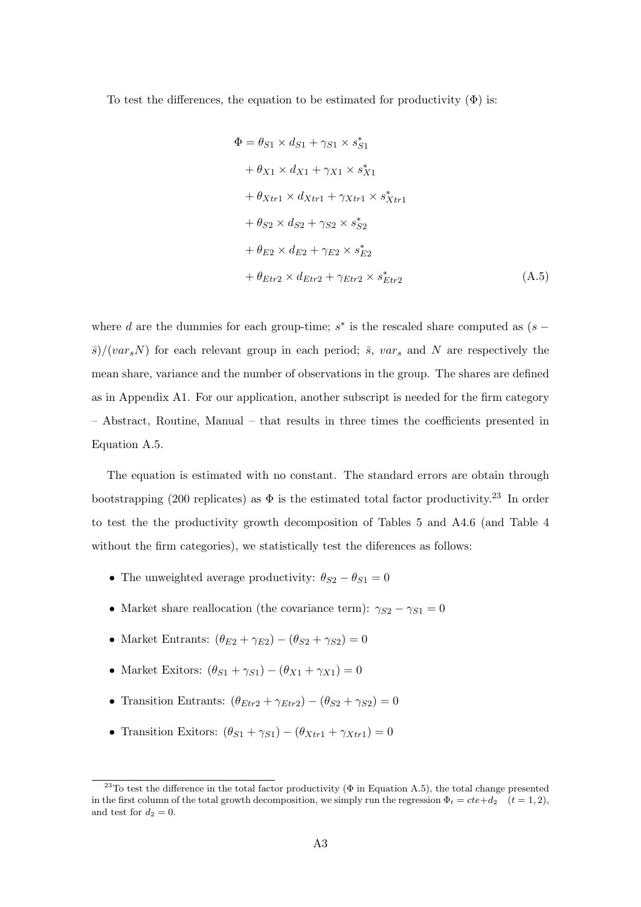To test the differences, the equation to be estimated for productivity  $(\Phi)$  is:

<span id="page-44-0"></span>
$$
\Phi = \theta_{S1} \times d_{S1} + \gamma_{S1} \times s_{S1}^*
$$
\n
$$
+ \theta_{X1} \times d_{X1} + \gamma_{X1} \times s_{X1}^*
$$
\n
$$
+ \theta_{Xtr1} \times d_{Xtr1} + \gamma_{Xtr1} \times s_{Xtr1}^*
$$
\n
$$
+ \theta_{S2} \times d_{S2} + \gamma_{S2} \times s_{S2}^*
$$
\n
$$
+ \theta_{E2} \times d_{E2} + \gamma_{E2} \times s_{E2}^*
$$
\n
$$
+ \theta_{Etr2} \times d_{Etr2} + \gamma_{Etr2} \times s_{Etr2}^*
$$
\n(A.5)

where d are the dummies for each group-time;  $s^*$  is the rescaled share computed as  $(s \bar{s}/(var_sN)$  for each relevant group in each period;  $\bar{s}$ ,  $var_s$  and N are respectively the mean share, variance and the number of observations in the group. The shares are defined as in Appendix [A1.](#page-42-0) For our application, another subscript is needed for the firm category – Abstract, Routine, Manual – that results in three times the coefficients presented in Equation [A.5.](#page-44-0)

The equation is estimated with no constant. The standard errors are obtain through bootstrapping (200 replicates) as  $\Phi$  is the estimated total factor productivity.<sup>[23](#page-0-0)</sup> In order to test the the productivity growth decomposition of Tables [5](#page-23-1) and [A4.6](#page-50-0) (and Table [4](#page-21-0) without the firm categories), we statistically test the diferences as follows:

- The unweighted average productivity:  $\theta_{S2} \theta_{S1} = 0$
- Market share reallocation (the covariance term):  $\gamma_{S2} \gamma_{S1} = 0$
- Market Entrants:  $(\theta_{E2} + \gamma_{E2}) (\theta_{S2} + \gamma_{S2}) = 0$
- Market Exitors:  $(\theta_{S1} + \gamma_{S1}) (\theta_{X1} + \gamma_{X1}) = 0$
- Transition Entrants:  $(\theta_{Etr2} + \gamma_{Etr2}) (\theta_{S2} + \gamma_{S2}) = 0$
- Transition Exitors:  $(\theta_{S1} + \gamma_{S1}) (\theta_{Xtr1} + \gamma_{Xtr1}) = 0$

<sup>&</sup>lt;sup>23</sup>To test the difference in the total factor productivity ( $\Phi$  in Equation [A.5\)](#page-44-0), the total change presented in the first column of the total growth decomposition, we simply run the regression  $\Phi_t = cte+d_2$   $(t = 1, 2)$ , and test for  $d_2 = 0$ .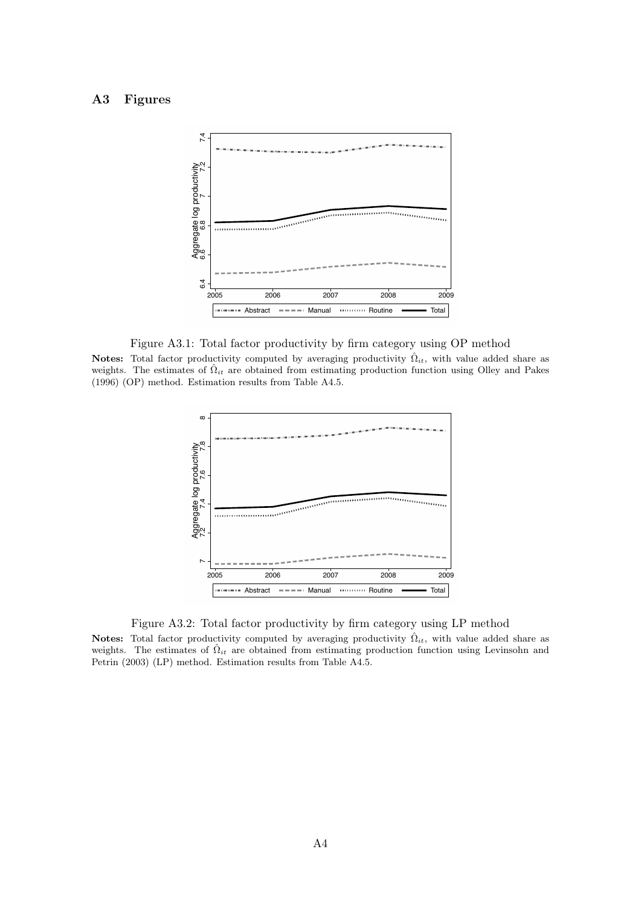#### <span id="page-45-0"></span>A3 Figures



<span id="page-45-1"></span>Figure A3.1: Total factor productivity by firm category using OP method Notes: Total factor productivity computed by averaging productivity  $\hat{\Omega}_{it}$ , with value added share as weights. The estimates of  $\hat{\Omega}_{it}$  are obtained from estimating production function using [Olley and Pakes](#page-40-0) [\(1996\)](#page-40-0) (OP) method. Estimation results from Table [A4.5.](#page-23-1)



Figure A3.2: Total factor productivity by firm category using LP method Notes: Total factor productivity computed by averaging productivity  $\hat{\Omega}_{it}$ , with value added share as weights. The estimates of  $\hat{\Omega}_{it}$  are obtained from estimating production function using [Levinsohn and](#page-39-8) [Petrin](#page-39-8) [\(2003\)](#page-39-8) (LP) method. Estimation results from Table [A4.5.](#page-23-1)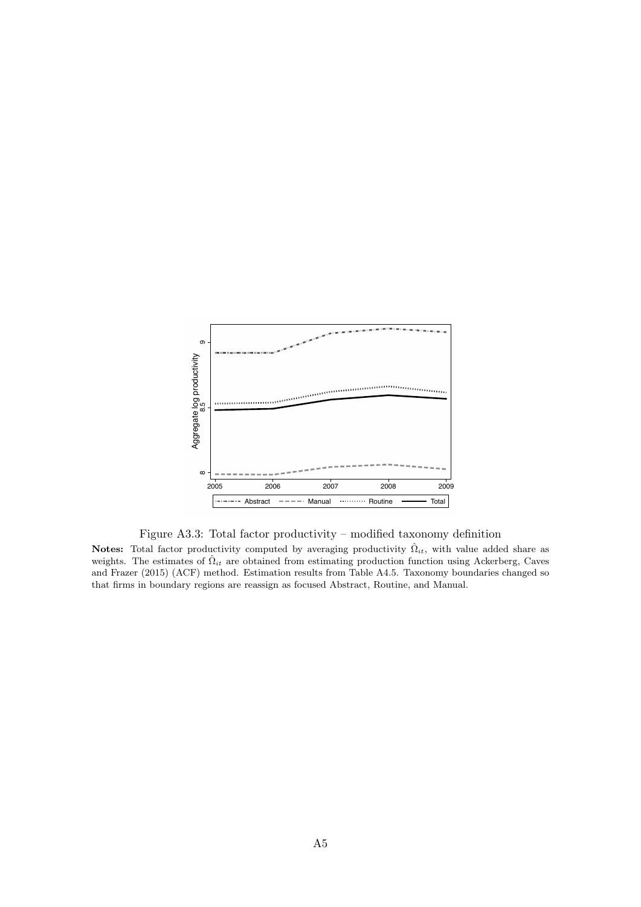

Figure A3.3: Total factor productivity – modified taxonomy definition

Notes: Total factor productivity computed by averaging productivity  $\hat{\Omega}_{it}$ , with value added share as weights. The estimates of  $\hat{\Omega}_{it}$  are obtained from estimating production function using [Ackerberg, Caves](#page-33-3) [and Frazer](#page-33-3) [\(2015\)](#page-33-3) (ACF) method. Estimation results from Table [A4.5.](#page-23-1) Taxonomy boundaries changed so that firms in boundary regions are reassign as focused Abstract, Routine, and Manual.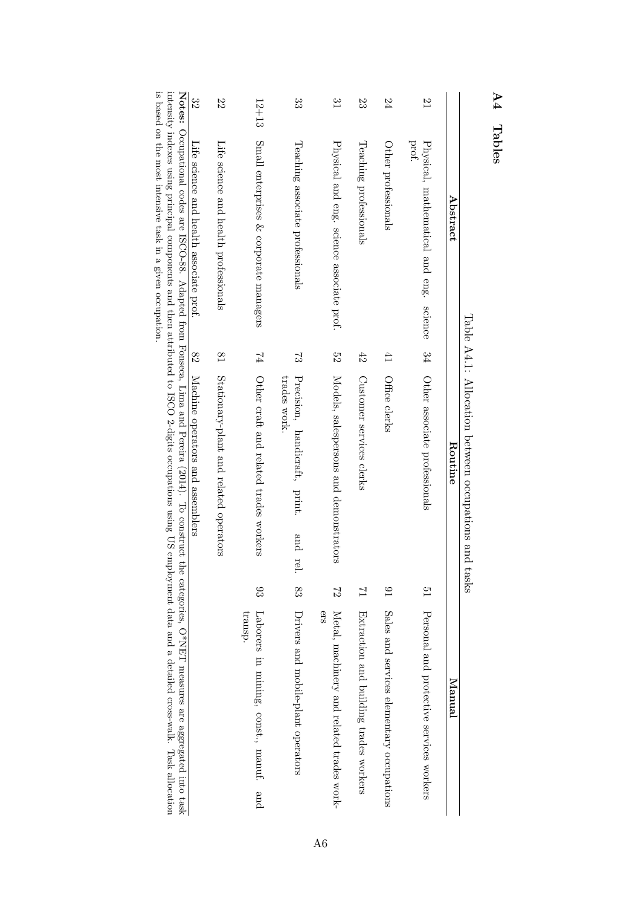## A4 Tables Tables

|                | Abstract                                                                                                  |                          | Routine                                                   |               | Manual                                               |
|----------------|-----------------------------------------------------------------------------------------------------------|--------------------------|-----------------------------------------------------------|---------------|------------------------------------------------------|
| $\overline{2}$ | prof.<br>Physical, mathematical and eng.<br>science                                                       | 34                       | Other associate professionals                             | $\mathbb{C}$  | Personal and protective services workers             |
| 24             | Other professionals                                                                                       | £                        | Office clerks                                             | $^{6}$        | Sales and services elementary occupations            |
| SS             | Teaching professionals                                                                                    | $\ddot{42}$              | Customer services clerks                                  |               | Extraction and building trades workers               |
| $\frac{31}{2}$ | Physical and eng. science associate prof.                                                                 | 52                       | Models, salespersons and demonstrators                    | $\mathbb{Z}$  | Metal, machinery and related trades work-<br>ers     |
| 33<br>33       | Teaching associate professionals                                                                          | $\mathbb{S}$             | Precision, handicraft, print.<br>trades work.<br>and rel. | $\frac{8}{3}$ | Drivers and mobile-plant operators                   |
| $12+13$        | Small enterprises & corporate managers                                                                    | $\overline{\mathcal{A}}$ | Other craft and related trades workers                    | 93            | Laborers in mining, const., manuf.<br>transp.<br>and |
| 22             | Life science and health professionals                                                                     | 81                       | Stationary-plant and related operators                    |               |                                                      |
| 32             | Life science and health associate prof.                                                                   |                          | 82 Machine operators and assemblers                       |               |                                                      |
|                | Notes: O compational acodes are ISCO-88. Adapted trom Echnecs, inima and Peteria (2014). To construct the |                          |                                                           |               | categories, O*NET measures are aggregated into task  |
|                |                                                                                                           |                          |                                                           |               |                                                      |

# Table A4.1: Allocation between occupations and tasks Table A4.1: Allocation between occupations and tasks

<span id="page-47-0"></span>intensity indexes using principal components and then attributed to ISCO 2-digits occupations using US employment data and a detailed cross-walk. Task allocation is based on the most intensive task in a given occupation. is based on the most intensive task in a given occupation. intensity indexes using principal components and then attributed to ISCO 2-digits occupations using US employment data and a detailed cross-walk. Task allocation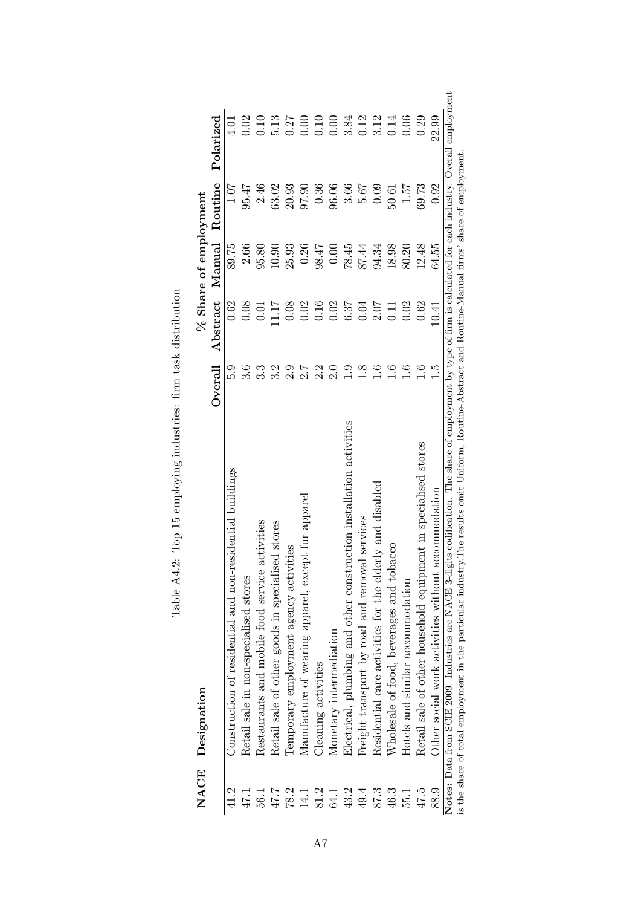|      | NACE Designation                                                                                                                                                   |                  |                  | % Share of employment |         |                    |
|------|--------------------------------------------------------------------------------------------------------------------------------------------------------------------|------------------|------------------|-----------------------|---------|--------------------|
|      |                                                                                                                                                                    | Overall          | Abstract         | ${\rm M}{\rm anual}$  | Routine | $_{\rm Polarized}$ |
| 41.2 | Construction of residential and non-residential buildings                                                                                                          | 5.G              | 0.62             | 89.75                 | 1.07    | 4.01               |
| 47.1 | Retail sale in non-specialised stores                                                                                                                              | $3.6\phantom{0}$ |                  | 2.66                  | 95.47   | 0.02               |
| 56.1 | activities<br>Restaurants and mobile food service                                                                                                                  | $3.\overline{3}$ | $0.08$<br>0.01   | $95.80\,$             | 2.46    | 0.10               |
| 7.74 | Retail sale of other goods in specialised stores                                                                                                                   | 3.2              | 1.17             | 10.90                 | 53.02   | 5.13               |
| 78.2 | Temporary employment agency activities                                                                                                                             | 2.9              | 0.08             | 25.93                 | 20.93   | 0.27               |
| 14.1 | Manufacture of wearing apparel, except fur apparel                                                                                                                 | 2.7              | 0.02             | 0.26                  | 97.90   | 0.00               |
| 81.2 | Cleaning activities                                                                                                                                                | 2.2              |                  | 98.47                 | 0.36    | 0.10               |
| 64.1 | Monetary intermediation                                                                                                                                            | 2.0              | $0.16$<br>$0.02$ | $0.00\,$              | 96.06   | 0.00               |
| 43.2 | Electrical, plumbing and other construction installation activities                                                                                                | 0.1              | $6.37$<br>0.04   | 78.45                 | 3.66    | 3.84               |
| 49.4 | Freight transport by road and removal services                                                                                                                     | $\frac{8}{1}$    |                  | 87.44                 | $5.67$  | 0.12               |
| 87.3 | Residential care activities for the elderly and disabled                                                                                                           | $\frac{6}{1}$    | 2.07             | 94.34                 | 0.09    | 3.12               |
| 46.3 | Wholesale of food, beverages and tobacco                                                                                                                           | $\frac{6}{1}$    | 0.11             | 18.98                 | 50.61   | 0.14               |
| 55.1 | Hotels and similar accommodation                                                                                                                                   | $\overline{1.6}$ | 0.02             | 80.20                 | 7.57    | 0.06               |
| 47.5 | Retail sale of other household equipment in specialised stores                                                                                                     | $\frac{6}{1}$    | 0.62             | 12.48                 | 69.73   | 0.29               |
| 88.9 | accommodation<br>Other social work activities without                                                                                                              | $\frac{5}{2}$    | 10.41            | 64.55                 | 0.92    | 22.99              |
|      | Notes: Data from SCIE 2009. Industries are NACE 3-digits codification. The share of employment by type of firm is calculated for each industry. Overall employment |                  |                  |                       |         |                    |
|      | is the share of total employment in the particular industry.The results omit Uniform, Routine-Abstract and Routine-Manual firms' share of employment               |                  |                  |                       |         |                    |

Table A4.2: Top 15 employing industries: firm task distribution Table A4.2: Top 15 employing industries: firm task distribution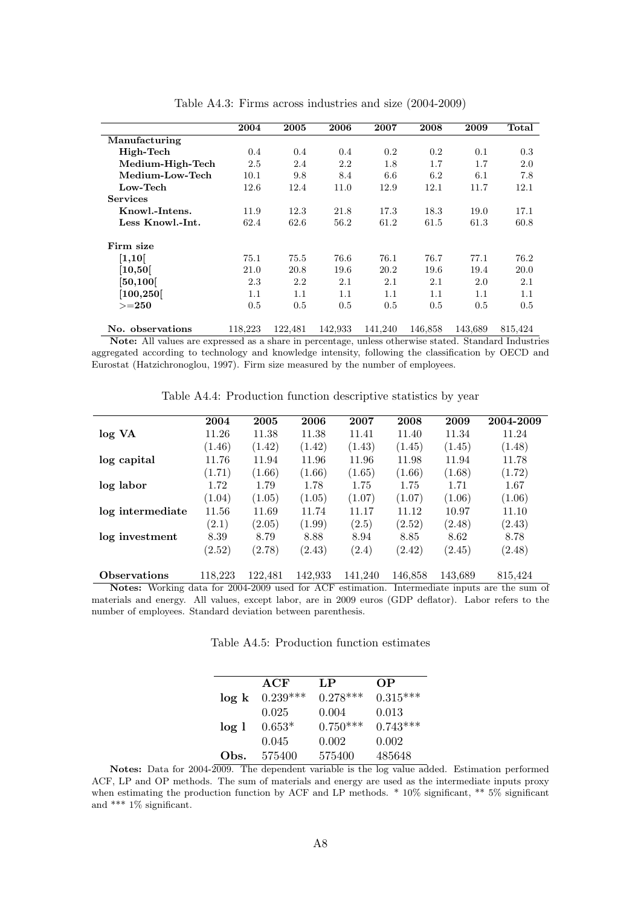|                          | 2004    | 2005    | 2006    | 2007    | 2008    | 2009    | $\rm Total$ |
|--------------------------|---------|---------|---------|---------|---------|---------|-------------|
| Manufacturing            |         |         |         |         |         |         |             |
| High-Tech                | 0.4     | 0.4     | 0.4     | 0.2     | 0.2     | 0.1     | 0.3         |
| Medium-High-Tech         | 2.5     | 2.4     | 2.2     | 1.8     | 1.7     | 1.7     | 2.0         |
| Medium-Low-Tech          | 10.1    | 9.8     | 8.4     | 6.6     | 6.2     | 6.1     | 7.8         |
| Low-Tech                 | 12.6    | 12.4    | 11.0    | 12.9    | 12.1    | 11.7    | 12.1        |
| <b>Services</b>          |         |         |         |         |         |         |             |
| Knowl.-Intens.           | 11.9    | 12.3    | 21.8    | 17.3    | 18.3    | 19.0    | 17.1        |
| Less Knowl.-Int.         | 62.4    | 62.6    | 56.2    | 61.2    | 61.5    | 61.3    | 60.8        |
| Firm size                |         |         |         |         |         |         |             |
| $\left[1,10\right[$      | 75.1    | 75.5    | 76.6    | 76.1    | 76.7    | 77.1    | 76.2        |
| $\left[10,50\right[$     | 21.0    | 20.8    | 19.6    | 20.2    | 19.6    | 19.4    | 20.0        |
| [50, 100]                | 2.3     | 2.2     | 2.1     | 2.1     | 2.1     | 2.0     | 2.1         |
| $\left[100,\!250\right[$ | 1.1     | 1.1     | 1.1     | 1.1     | $1.1\,$ | 1.1     | 1.1         |
| $>=$ 250                 | 0.5     | 0.5     | 0.5     | 0.5     | 0.5     | 0.5     | 0.5         |
| No. observations         | 118,223 | 122,481 | 142,933 | 141,240 | 146,858 | 143,689 | 815,424     |

Table A4.3: Firms across industries and size (2004-2009)

Note: All values are expressed as a share in percentage, unless otherwise stated. Standard Industries aggregated according to technology and knowledge intensity, following the classification by OECD and Eurostat [\(Hatzichronoglou,](#page-38-10) [1997\)](#page-38-10). Firm size measured by the number of employees.

|                     | 2004    | 2005    | 2006    | 2007    | 2008    | 2009    | 2004-2009 |
|---------------------|---------|---------|---------|---------|---------|---------|-----------|
| log VA              | 11.26   | 11.38   | 11.38   | 11.41   | 11.40   | 11.34   | 11.24     |
|                     | (1.46)  | (1.42)  | (1.42)  | (1.43)  | (1.45)  | (1.45)  | (1.48)    |
| log capital         | 11.76   | 11.94   | 11.96   | 11.96   | 11.98   | 11.94   | 11.78     |
|                     | (1.71)  | (1.66)  | (1.66)  | (1.65)  | (1.66)  | (1.68)  | (1.72)    |
| log labor           | 1.72    | 1.79    | 1.78    | 1.75    | 1.75    | 1.71    | 1.67      |
|                     | (1.04)  | (1.05)  | (1.05)  | (1.07)  | (1.07)  | (1.06)  | (1.06)    |
| log intermediate    | 11.56   | 11.69   | 11.74   | 11.17   | 11.12   | 10.97   | 11.10     |
|                     | (2.1)   | (2.05)  | (1.99)  | (2.5)   | (2.52)  | (2.48)  | (2.43)    |
| log investment      | 8.39    | 8.79    | 8.88    | 8.94    | 8.85    | 8.62    | 8.78      |
|                     | (2.52)  | (2.78)  | (2.43)  | (2.4)   | (2.42)  | (2.45)  | (2.48)    |
| <b>Observations</b> | 118,223 | 122,481 | 142,933 | 141.240 | 146,858 | 143,689 | 815,424   |

Table A4.4: Production function descriptive statistics by year

Notes: Working data for 2004-2009 used for ACF estimation. Intermediate inputs are the sum of materials and energy. All values, except labor, are in 2009 euros (GDP deflator). Labor refers to the number of employees. Standard deviation between parenthesis.

Table A4.5: Production function estimates

|       | ACF        | LP.        | OΡ         |
|-------|------------|------------|------------|
| log k | $0.239***$ | $0.278***$ | $0.315***$ |
|       | 0.025      | 0.004      | 0.013      |
| log 1 | $0.653*$   | $0.750***$ | $0.743***$ |
|       | 0.045      | 0.002      | 0.002      |
| Obs.  | 575400     | 575400     | 485648     |

Notes: Data for 2004-2009. The dependent variable is the log value added. Estimation performed ACF, LP and OP methods. The sum of materials and energy are used as the intermediate inputs proxy when estimating the production function by ACF and LP methods. \* 10% significant, \*\* 5% significant and \*\*\* 1% significant.